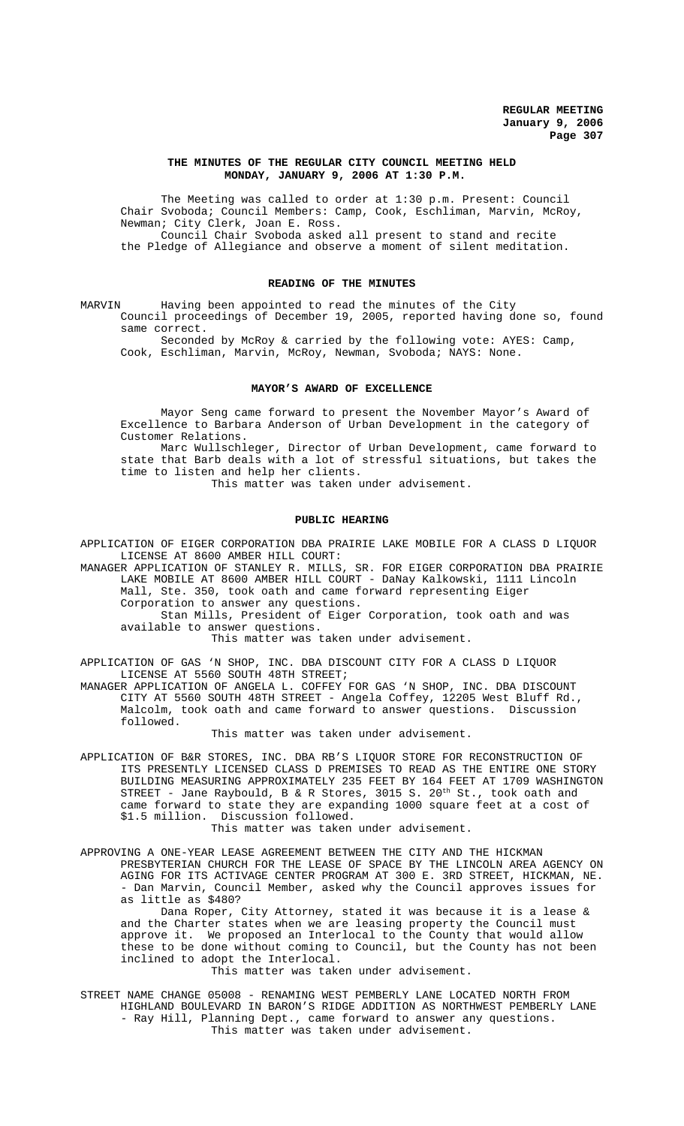### **THE MINUTES OF THE REGULAR CITY COUNCIL MEETING HELD MONDAY, JANUARY 9, 2006 AT 1:30 P.M.**

The Meeting was called to order at 1:30 p.m. Present: Council Chair Svoboda; Council Members: Camp, Cook, Eschliman, Marvin, McRoy, Newman; City Clerk, Joan E. Ross. Council Chair Svoboda asked all present to stand and recite the Pledge of Allegiance and observe a moment of silent meditation.

#### **READING OF THE MINUTES**

MARVIN Having been appointed to read the minutes of the City Council proceedings of December 19, 2005, reported having done so, found same correct.

Seconded by McRoy & carried by the following vote: AYES: Camp, Cook, Eschliman, Marvin, McRoy, Newman, Svoboda; NAYS: None.

#### **MAYOR'S AWARD OF EXCELLENCE**

Mayor Seng came forward to present the November Mayor's Award of Excellence to Barbara Anderson of Urban Development in the category of Customer Relations.

Marc Wullschleger, Director of Urban Development, came forward to state that Barb deals with a lot of stressful situations, but takes the time to listen and help her clients.

This matter was taken under advisement.

#### **PUBLIC HEARING**

APPLICATION OF EIGER CORPORATION DBA PRAIRIE LAKE MOBILE FOR A CLASS D LIQUOR LICENSE AT 8600 AMBER HILL COURT:

MANAGER APPLICATION OF STANLEY R. MILLS, SR. FOR EIGER CORPORATION DBA PRAIRIE LAKE MOBILE AT 8600 AMBER HILL COURT - DaNay Kalkowski, 1111 Lincoln Mall, Ste. 350, took oath and came forward representing Eiger

Corporation to answer any questions.

Stan Mills, President of Eiger Corporation, took oath and was available to answer questions.

This matter was taken under advisement.

APPLICATION OF GAS 'N SHOP, INC. DBA DISCOUNT CITY FOR A CLASS D LIQUOR LICENSE AT 5560 SOUTH 48TH STREET;

MANAGER APPLICATION OF ANGELA L. COFFEY FOR GAS 'N SHOP, INC. DBA DISCOUNT CITY AT 5560 SOUTH 48TH STREET - Angela Coffey, 12205 West Bluff Rd., Malcolm, took oath and came forward to answer questions. Discussion followed.

This matter was taken under advisement.

APPLICATION OF B&R STORES, INC. DBA RB'S LIQUOR STORE FOR RECONSTRUCTION OF ITS PRESENTLY LICENSED CLASS D PREMISES TO READ AS THE ENTIRE ONE STORY BUILDING MEASURING APPROXIMATELY 235 FEET BY 164 FEET AT 1709 WASHINGTON STREET - Jane Raybould, B & R Stores, 3015 S.  $20^\text{th}$  St., took oath and came forward to state they are expanding 1000 square feet at a cost of \$1.5 million. Discussion followed.

This matter was taken under advisement.

APPROVING A ONE-YEAR LEASE AGREEMENT BETWEEN THE CITY AND THE HICKMAN PRESBYTERIAN CHURCH FOR THE LEASE OF SPACE BY THE LINCOLN AREA AGENCY ON AGING FOR ITS ACTIVAGE CENTER PROGRAM AT 300 E. 3RD STREET, HICKMAN, NE. - Dan Marvin, Council Member, asked why the Council approves issues for as little as \$480?

Dana Roper, City Attorney, stated it was because it is a lease & and the Charter states when we are leasing property the Council must approve it. We proposed an Interlocal to the County that would allow these to be done without coming to Council, but the County has not been inclined to adopt the Interlocal.

This matter was taken under advisement.

STREET NAME CHANGE 05008 - RENAMING WEST PEMBERLY LANE LOCATED NORTH FROM HIGHLAND BOULEVARD IN BARON'S RIDGE ADDITION AS NORTHWEST PEMBERLY LANE - Ray Hill, Planning Dept., came forward to answer any questions. This matter was taken under advisement.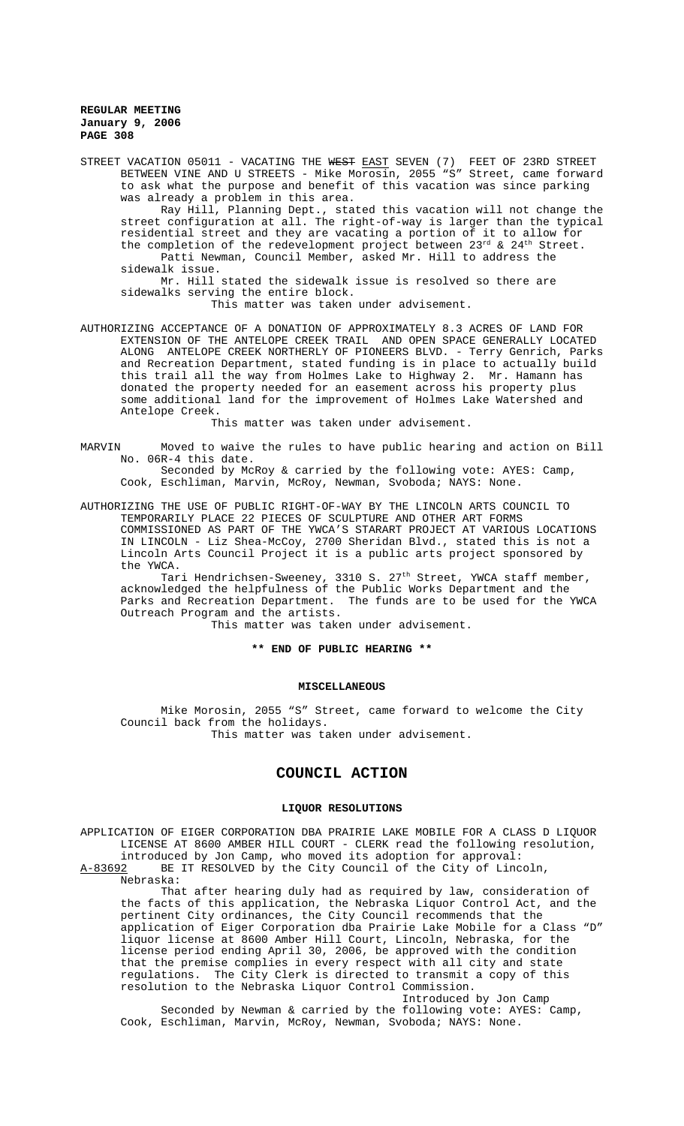STREET VACATION 05011 - VACATING THE WEST EAST SEVEN (7) FEET OF 23RD STREET BETWEEN VINE AND U STREETS - Mike Morosin, 2055 "S" Street, came forward to ask what the purpose and benefit of this vacation was since parking was already a problem in this area. Ray Hill, Planning Dept., stated this vacation will not change the street configuration at all. The right-of-way is larger than the typical

residential street and they are vacating a portion of it to allow for the completion of the redevelopment project between  $23^{rd}$  &  $24^{th}$  Street. Patti Newman, Council Member, asked Mr. Hill to address the sidewalk issue.

Mr. Hill stated the sidewalk issue is resolved so there are sidewalks serving the entire block. This matter was taken under advisement.

AUTHORIZING ACCEPTANCE OF A DONATION OF APPROXIMATELY 8.3 ACRES OF LAND FOR EXTENSION OF THE ANTELOPE CREEK TRAIL AND OPEN SPACE GENERALLY LOCATED ALONG ANTELOPE CREEK NORTHERLY OF PIONEERS BLVD. - Terry Genrich, Parks and Recreation Department, stated funding is in place to actually build this trail all the way from Holmes Lake to Highway 2. Mr. Hamann has donated the property needed for an easement across his property plus some additional land for the improvement of Holmes Lake Watershed and Antelope Creek.

This matter was taken under advisement.

MARVIN Moved to waive the rules to have public hearing and action on Bill No. 06R-4 this date.

Seconded by McRoy & carried by the following vote: AYES: Camp, Cook, Eschliman, Marvin, McRoy, Newman, Svoboda; NAYS: None.

AUTHORIZING THE USE OF PUBLIC RIGHT-OF-WAY BY THE LINCOLN ARTS COUNCIL TO TEMPORARILY PLACE 22 PIECES OF SCULPTURE AND OTHER ART FORMS COMMISSIONED AS PART OF THE YWCA'S STARART PROJECT AT VARIOUS LOCATIONS IN LINCOLN - Liz Shea-McCoy, 2700 Sheridan Blvd., stated this is not a Lincoln Arts Council Project it is a public arts project sponsored by the YWCA.

Tari Hendrichsen-Sweeney, 3310 S. 27<sup>th</sup> Street, YWCA staff member, acknowledged the helpfulness of the Public Works Department and the Parks and Recreation Department. The funds are to be used for the YWCA Outreach Program and the artists.

This matter was taken under advisement.

**\*\* END OF PUBLIC HEARING \*\***

#### **MISCELLANEOUS**

Mike Morosin, 2055 "S" Street, came forward to welcome the City Council back from the holidays. This matter was taken under advisement.

# **COUNCIL ACTION**

## **LIQUOR RESOLUTIONS**

APPLICATION OF EIGER CORPORATION DBA PRAIRIE LAKE MOBILE FOR A CLASS D LIQUOR LICENSE AT 8600 AMBER HILL COURT - CLERK read the following resolution, introduced by Jon Camp, who moved its adoption for approval: A-83692 BE IT RESOLVED by the City Council of the City of Lincoln,

Nebraska:

That after hearing duly had as required by law, consideration of the facts of this application, the Nebraska Liquor Control Act, and the pertinent City ordinances, the City Council recommends that the application of Eiger Corporation dba Prairie Lake Mobile for a Class "D" liquor license at 8600 Amber Hill Court, Lincoln, Nebraska, for the license period ending April 30, 2006, be approved with the condition that the premise complies in every respect with all city and state regulations. The City Clerk is directed to transmit a copy of this resolution to the Nebraska Liquor Control Commission. Introduced by Jon Camp

Seconded by Newman & carried by the following vote: AYES: Camp, Cook, Eschliman, Marvin, McRoy, Newman, Svoboda; NAYS: None.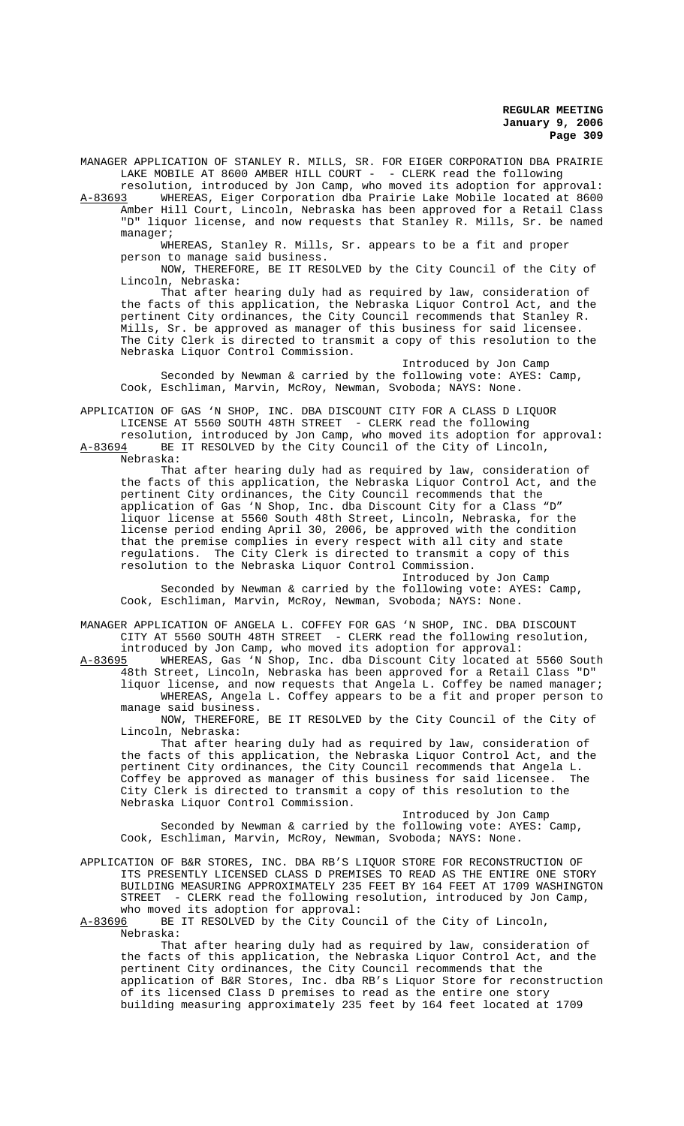MANAGER APPLICATION OF STANLEY R. MILLS, SR. FOR EIGER CORPORATION DBA PRAIRIE LAKE MOBILE AT 8600 AMBER HILL COURT - - CLERK read the following

resolution, introduced by Jon Camp, who moved its adoption for approval: A-83693 WHEREAS, Eiger Corporation dba Prairie Lake Mobile located at 8600 Amber Hill Court, Lincoln, Nebraska has been approved for a Retail Class "D" liquor license, and now requests that Stanley R. Mills, Sr. be named manager;

WHEREAS, Stanley R. Mills, Sr. appears to be a fit and proper person to manage said business.

NOW, THEREFORE, BE IT RESOLVED by the City Council of the City of Lincoln, Nebraska:

That after hearing duly had as required by law, consideration of the facts of this application, the Nebraska Liquor Control Act, and the pertinent City ordinances, the City Council recommends that Stanley R. Mills, Sr. be approved as manager of this business for said licensee. The City Clerk is directed to transmit a copy of this resolution to the Nebraska Liquor Control Commission.

Introduced by Jon Camp Seconded by Newman & carried by the following vote: AYES: Camp, Cook, Eschliman, Marvin, McRoy, Newman, Svoboda; NAYS: None.

APPLICATION OF GAS 'N SHOP, INC. DBA DISCOUNT CITY FOR A CLASS D LIQUOR LICENSE AT 5560 SOUTH 48TH STREET - CLERK read the following

resolution, introduced by Jon Camp, who moved its adoption for approval:<br>A-83694 BE IT RESOLVED by the City Council of the City of Lincoln, BE IT RESOLVED by the City Council of the City of Lincoln, Nebraska:

That after hearing duly had as required by law, consideration of the facts of this application, the Nebraska Liquor Control Act, and the pertinent City ordinances, the City Council recommends that the application of Gas 'N Shop, Inc. dba Discount City for a Class "D" liquor license at 5560 South 48th Street, Lincoln, Nebraska, for the license period ending April 30, 2006, be approved with the condition that the premise complies in every respect with all city and state regulations. The City Clerk is directed to transmit a copy of this resolution to the Nebraska Liquor Control Commission.

Introduced by Jon Camp Seconded by Newman & carried by the following vote: AYES: Camp, Cook, Eschliman, Marvin, McRoy, Newman, Svoboda; NAYS: None.

MANAGER APPLICATION OF ANGELA L. COFFEY FOR GAS 'N SHOP, INC. DBA DISCOUNT CITY AT 5560 SOUTH 48TH STREET - CLERK read the following resolution,

introduced by Jon Camp, who moved its adoption for approval:<br>A-83695 WHEREAS, Gas 'N Shop, Inc. dba Discount City located a WHEREAS, Gas 'N Shop, Inc. dba Discount City located at 5560 South 48th Street, Lincoln, Nebraska has been approved for a Retail Class "D" liquor license, and now requests that Angela L. Coffey be named manager; WHEREAS, Angela L. Coffey appears to be a fit and proper person to manage said business.

NOW, THEREFORE, BE IT RESOLVED by the City Council of the City of Lincoln, Nebraska:

That after hearing duly had as required by law, consideration of the facts of this application, the Nebraska Liquor Control Act, and the pertinent City ordinances, the City Council recommends that Angela L. Coffey be approved as manager of this business for said licensee. The City Clerk is directed to transmit a copy of this resolution to the Nebraska Liquor Control Commission.

Introduced by Jon Camp Seconded by Newman & carried by the following vote: AYES: Camp, Cook, Eschliman, Marvin, McRoy, Newman, Svoboda; NAYS: None.

APPLICATION OF B&R STORES, INC. DBA RB'S LIQUOR STORE FOR RECONSTRUCTION OF ITS PRESENTLY LICENSED CLASS D PREMISES TO READ AS THE ENTIRE ONE STORY BUILDING MEASURING APPROXIMATELY 235 FEET BY 164 FEET AT 1709 WASHINGTON STREET - CLERK read the following resolution, introduced by Jon Camp, who moved its adoption for approval:<br>A-83696 BE IT RESOLVED by the City Cou

BE IT RESOLVED by the City Council of the City of Lincoln, Nebraska:

That after hearing duly had as required by law, consideration of the facts of this application, the Nebraska Liquor Control Act, and the pertinent City ordinances, the City Council recommends that the application of B&R Stores, Inc. dba RB's Liquor Store for reconstruction of its licensed Class D premises to read as the entire one story building measuring approximately 235 feet by 164 feet located at 1709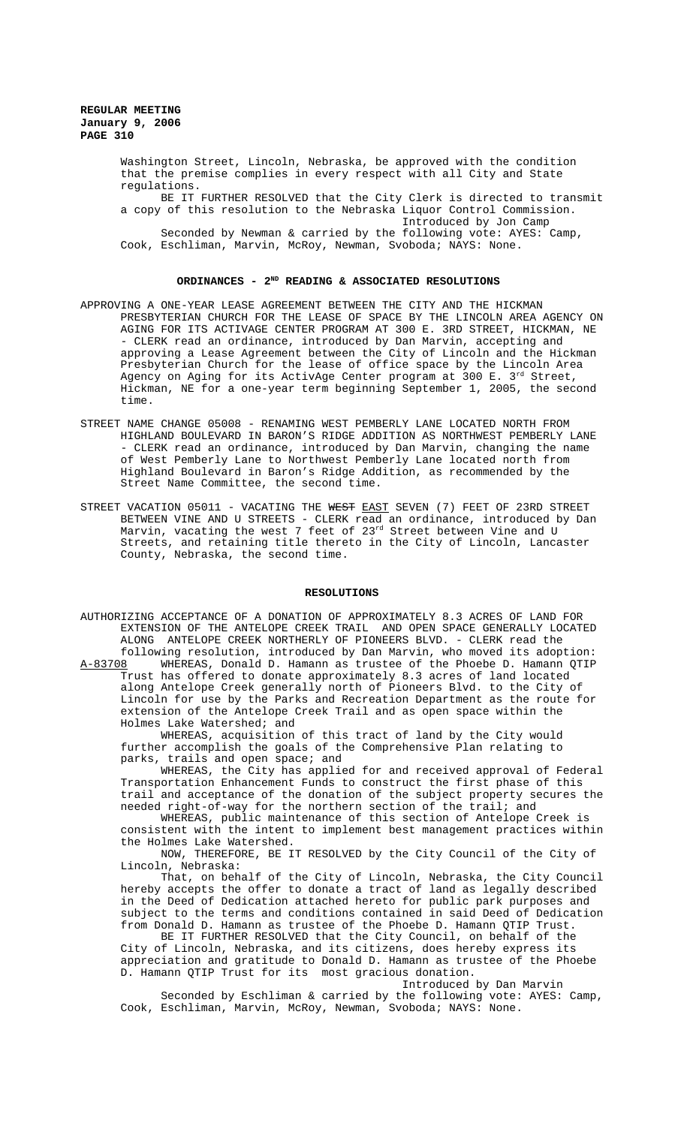> Washington Street, Lincoln, Nebraska, be approved with the condition that the premise complies in every respect with all City and State regulations.

BE IT FURTHER RESOLVED that the City Clerk is directed to transmit a copy of this resolution to the Nebraska Liquor Control Commission. Introduced by Jon Camp Seconded by Newman & carried by the following vote: AYES: Camp, Cook, Eschliman, Marvin, McRoy, Newman, Svoboda; NAYS: None.

### ORDINANCES - 2<sup>ND</sup> READING & ASSOCIATED RESOLUTIONS

- APPROVING A ONE-YEAR LEASE AGREEMENT BETWEEN THE CITY AND THE HICKMAN PRESBYTERIAN CHURCH FOR THE LEASE OF SPACE BY THE LINCOLN AREA AGENCY ON AGING FOR ITS ACTIVAGE CENTER PROGRAM AT 300 E. 3RD STREET, HICKMAN, NE - CLERK read an ordinance, introduced by Dan Marvin, accepting and approving a Lease Agreement between the City of Lincoln and the Hickman Presbyterian Church for the lease of office space by the Lincoln Area Agency on Aging for its ActivAge Center program at 300 E. 3<sup>rd</sup> Street, Hickman, NE for a one-year term beginning September 1, 2005, the second time.
- STREET NAME CHANGE 05008 RENAMING WEST PEMBERLY LANE LOCATED NORTH FROM HIGHLAND BOULEVARD IN BARON'S RIDGE ADDITION AS NORTHWEST PEMBERLY LANE - CLERK read an ordinance, introduced by Dan Marvin, changing the name of West Pemberly Lane to Northwest Pemberly Lane located north from Highland Boulevard in Baron's Ridge Addition, as recommended by the Street Name Committee, the second time.
- STREET VACATION 05011 VACATING THE WEST EAST SEVEN (7) FEET OF 23RD STREET BETWEEN VINE AND U STREETS - CLERK read an ordinance, introduced by Dan Marvin, vacating the west 7 feet of 23<sup>rd</sup> Street between Vine and U Streets, and retaining title thereto in the City of Lincoln, Lancaster County, Nebraska, the second time.

#### **RESOLUTIONS**

AUTHORIZING ACCEPTANCE OF A DONATION OF APPROXIMATELY 8.3 ACRES OF LAND FOR EXTENSION OF THE ANTELOPE CREEK TRAIL AND OPEN SPACE GENERALLY LOCATED ALONG ANTELOPE CREEK NORTHERLY OF PIONEERS BLVD. - CLERK read the following resolution, introduced by Dan Marvin, who moved its adoption:<br>A-83708 WHEREAS, Donald D. Hamann as trustee of the Phoebe D. Hamann QTIP WHEREAS, Donald D. Hamann as trustee of the Phoebe D. Hamann QTIP Trust has offered to donate approximately 8.3 acres of land located along Antelope Creek generally north of Pioneers Blvd. to the City of Lincoln for use by the Parks and Recreation Department as the route for extension of the Antelope Creek Trail and as open space within the Holmes Lake Watershed; and

WHEREAS, acquisition of this tract of land by the City would further accomplish the goals of the Comprehensive Plan relating to parks, trails and open space; and

WHEREAS, the City has applied for and received approval of Federal Transportation Enhancement Funds to construct the first phase of this trail and acceptance of the donation of the subject property secures the needed right-of-way for the northern section of the trail; and

WHEREAS, public maintenance of this section of Antelope Creek is consistent with the intent to implement best management practices within the Holmes Lake Watershed.

NOW, THEREFORE, BE IT RESOLVED by the City Council of the City of Lincoln, Nebraska:

That, on behalf of the City of Lincoln, Nebraska, the City Council hereby accepts the offer to donate a tract of land as legally described in the Deed of Dedication attached hereto for public park purposes and subject to the terms and conditions contained in said Deed of Dedication from Donald D. Hamann as trustee of the Phoebe D. Hamann QTIP Trust.

BE IT FURTHER RESOLVED that the City Council, on behalf of the City of Lincoln, Nebraska, and its citizens, does hereby express its appreciation and gratitude to Donald D. Hamann as trustee of the Phoebe D. Hamann QTIP Trust for its most gracious donation. Introduced by Dan Marvin

Seconded by Eschliman & carried by the following vote: AYES: Camp, Cook, Eschliman, Marvin, McRoy, Newman, Svoboda; NAYS: None.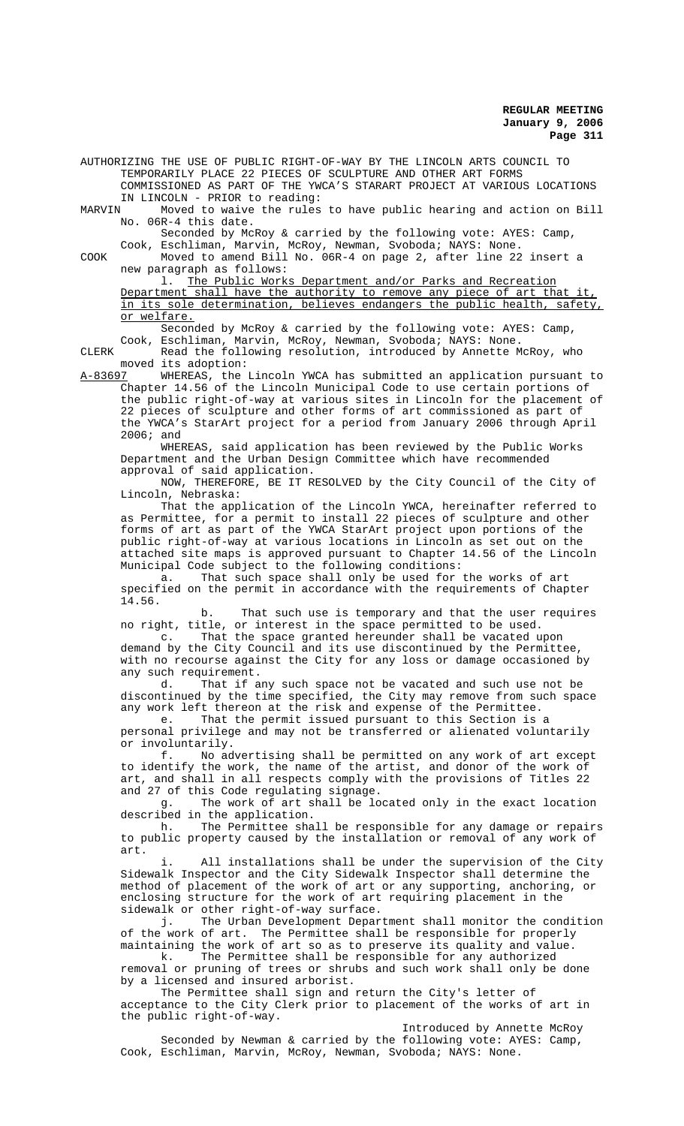AUTHORIZING THE USE OF PUBLIC RIGHT-OF-WAY BY THE LINCOLN ARTS COUNCIL TO TEMPORARILY PLACE 22 PIECES OF SCULPTURE AND OTHER ART FORMS COMMISSIONED AS PART OF THE YWCA'S STARART PROJECT AT VARIOUS LOCATIONS

IN LINCOLN - PRIOR to reading:<br>MARVIN Moved to waive the rules Moved to waive the rules to have public hearing and action on Bill No. 06R-4 this date.

Seconded by McRoy & carried by the following vote: AYES: Camp, Cook, Eschliman, Marvin, McRoy, Newman, Svoboda; NAYS: None.

COOK Moved to amend Bill No. 06R-4 on page 2, after line 22 insert a new paragraph as follows:

l. The Public Works Department and/or Parks and Recreation Department shall have the authority to remove any piece of art that it, in its sole determination, believes endangers the public health, safety, or welfare.

Seconded by McRoy & carried by the following vote: AYES: Camp, Cook, Eschliman, Marvin, McRoy, Newman, Svoboda; NAYS: None.

CLERK Read the following resolution, introduced by Annette McRoy, who moved its adoption:<br>A-83697 WHEREAS, the

A-83697 MHEREAS, the Lincoln YWCA has submitted an application pursuant to Chapter 14.56 of the Lincoln Municipal Code to use certain portions of the public right-of-way at various sites in Lincoln for the placement of 22 pieces of sculpture and other forms of art commissioned as part of the YWCA's StarArt project for a period from January 2006 through April 2006; and

WHEREAS, said application has been reviewed by the Public Works Department and the Urban Design Committee which have recommended approval of said application.

NOW, THEREFORE, BE IT RESOLVED by the City Council of the City of Lincoln, Nebraska:

That the application of the Lincoln YWCA, hereinafter referred to as Permittee, for a permit to install 22 pieces of sculpture and other forms of art as part of the YWCA StarArt project upon portions of the public right-of-way at various locations in Lincoln as set out on the attached site maps is approved pursuant to Chapter 14.56 of the Lincoln Municipal Code subject to the following conditions:

a. That such space shall only be used for the works of art specified on the permit in accordance with the requirements of Chapter 14.56.

b. That such use is temporary and that the user requires no right, title, or interest in the space permitted to be used.

c. That the space granted hereunder shall be vacated upon demand by the City Council and its use discontinued by the Permittee, with no recourse against the City for any loss or damage occasioned by any such requirement.

d. That if any such space not be vacated and such use not be discontinued by the time specified, the City may remove from such space any work left thereon at the risk and expense of the Permittee.

e. That the permit issued pursuant to this Section is a personal privilege and may not be transferred or alienated voluntarily or involuntarily.

f. No advertising shall be permitted on any work of art except to identify the work, the name of the artist, and donor of the work of art, and shall in all respects comply with the provisions of Titles 22 and 27 of this Code regulating signage.<br>g. The work of art shall be lo

The work of art shall be located only in the exact location described in the application.

h. The Permittee shall be responsible for any damage or repairs to public property caused by the installation or removal of any work of art.

All installations shall be under the supervision of the City Sidewalk Inspector and the City Sidewalk Inspector shall determine the method of placement of the work of art or any supporting, anchoring, or enclosing structure for the work of art requiring placement in the sidewalk or other right-of-way surface.

j. The Urban Development Department shall monitor the condition of the work of art. The Permittee shall be responsible for properly

maintaining the work of art so as to preserve its quality and value.<br>
k. The Permittee shall be responsible for any authorized The Permittee shall be responsible for any authorized removal or pruning of trees or shrubs and such work shall only be done by a licensed and insured arborist.

The Permittee shall sign and return the City's letter of acceptance to the City Clerk prior to placement of the works of art in the public right-of-way.

Introduced by Annette McRoy Seconded by Newman & carried by the following vote: AYES: Camp, Cook, Eschliman, Marvin, McRoy, Newman, Svoboda; NAYS: None.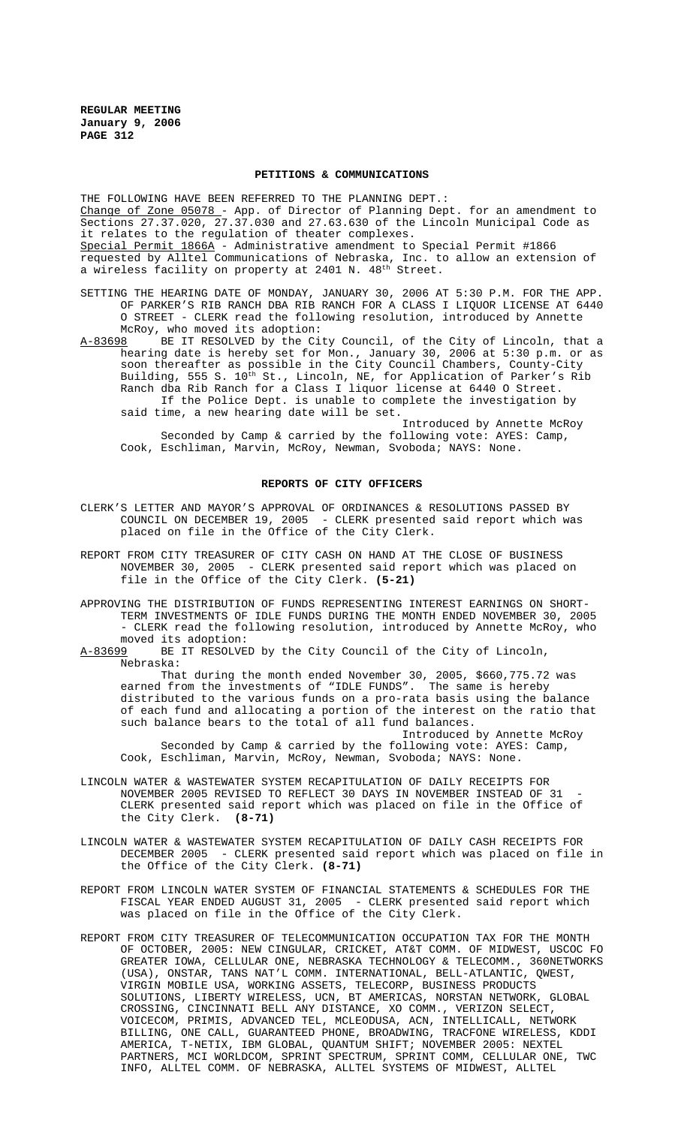#### **PETITIONS & COMMUNICATIONS**

THE FOLLOWING HAVE BEEN REFERRED TO THE PLANNING DEPT. : Change of Zone 05078 - App. of Director of Planning Dept. for an amendment to Sections 27.37.020, 27.37.030 and 27.63.630 of the Lincoln Municipal Code as it relates to the regulation of theater complexes. Special Permit 1866A - Administrative amendment to Special Permit #1866 requested by Alltel Communications of Nebraska, Inc. to allow an extension of a wireless facility on property at 2401 N. 48<sup>th</sup> Street.

SETTING THE HEARING DATE OF MONDAY, JANUARY 30, 2006 AT 5:30 P.M. FOR THE APP. OF PARKER'S RIB RANCH DBA RIB RANCH FOR A CLASS I LIQUOR LICENSE AT 6440 O STREET - CLERK read the following resolution, introduced by Annette McRoy, who moved its adoption:

A-83698 BE IT RESOLVED by the City Council, of the City of Lincoln, that a hearing date is hereby set for Mon., January 30, 2006 at 5:30 p.m. or as soon thereafter as possible in the City Council Chambers, County-City Building, 555 S. 10<sup>th</sup> St., Lincoln, NE, for Application of Parker's Rib Ranch dba Rib Ranch for a Class I liquor license at 6440 O Street. If the Police Dept. is unable to complete the investigation by said time, a new hearing date will be set.

Introduced by Annette McRoy Seconded by Camp & carried by the following vote: AYES: Camp, Cook, Eschliman, Marvin, McRoy, Newman, Svoboda; NAYS: None.

## **REPORTS OF CITY OFFICERS**

- CLERK'S LETTER AND MAYOR'S APPROVAL OF ORDINANCES & RESOLUTIONS PASSED BY COUNCIL ON DECEMBER 19, 2005 - CLERK presented said report which was placed on file in the Office of the City Clerk.
- REPORT FROM CITY TREASURER OF CITY CASH ON HAND AT THE CLOSE OF BUSINESS NOVEMBER 30, 2005 - CLERK presented said report which was placed on file in the Office of the City Clerk. **(5-21)**
- APPROVING THE DISTRIBUTION OF FUNDS REPRESENTING INTEREST EARNINGS ON SHORT-TERM INVESTMENTS OF IDLE FUNDS DURING THE MONTH ENDED NOVEMBER 30, 2005 - CLERK read the following resolution, introduced by Annette McRoy, who moved its adoption:<br><u>A-83699</u> BE IT RESOLVE
- BE IT RESOLVED by the City Council of the City of Lincoln, Nebraska:

That during the month ended November 30, 2005, \$660,775.72 was earned from the investments of "IDLE FUNDS". The same is hereby distributed to the various funds on a pro-rata basis using the balance of each fund and allocating a portion of the interest on the ratio that such balance bears to the total of all fund balances.

Introduced by Annette McRoy Seconded by Camp & carried by the following vote: AYES: Camp, Cook, Eschliman, Marvin, McRoy, Newman, Svoboda; NAYS: None.

- LINCOLN WATER & WASTEWATER SYSTEM RECAPITULATION OF DAILY RECEIPTS FOR NOVEMBER 2005 REVISED TO REFLECT 30 DAYS IN NOVEMBER INSTEAD OF 31 CLERK presented said report which was placed on file in the Office of the City Clerk. **(8-71)**
- LINCOLN WATER & WASTEWATER SYSTEM RECAPITULATION OF DAILY CASH RECEIPTS FOR DECEMBER 2005 - CLERK presented said report which was placed on file in the Office of the City Clerk. **(8-71)**
- REPORT FROM LINCOLN WATER SYSTEM OF FINANCIAL STATEMENTS & SCHEDULES FOR THE FISCAL YEAR ENDED AUGUST 31, 2005 - CLERK presented said report which was placed on file in the Office of the City Clerk.
- REPORT FROM CITY TREASURER OF TELECOMMUNICATION OCCUPATION TAX FOR THE MONTH OF OCTOBER, 2005: NEW CINGULAR, CRICKET, AT&T COMM. OF MIDWEST, USCOC FO GREATER IOWA, CELLULAR ONE, NEBRASKA TECHNOLOGY & TELECOMM., 360NETWORKS (USA), ONSTAR, TANS NAT'L COMM. INTERNATIONAL, BELL-ATLANTIC, QWEST, VIRGIN MOBILE USA, WORKING ASSETS, TELECORP, BUSINESS PRODUCTS SOLUTIONS, LIBERTY WIRELESS, UCN, BT AMERICAS, NORSTAN NETWORK, GLOBAL CROSSING, CINCINNATI BELL ANY DISTANCE, XO COMM., VERIZON SELECT, VOICECOM, PRIMIS, ADVANCED TEL, MCLEODUSA, ACN, INTELLICALL, NETWORK BILLING, ONE CALL, GUARANTEED PHONE, BROADWING, TRACFONE WIRELESS, KDDI AMERICA, T-NETIX, IBM GLOBAL, QUANTUM SHIFT; NOVEMBER 2005: NEXTEL PARTNERS, MCI WORLDCOM, SPRINT SPECTRUM, SPRINT COMM, CELLULAR ONE, TWC INFO, ALLTEL COMM. OF NEBRASKA, ALLTEL SYSTEMS OF MIDWEST, ALLTEL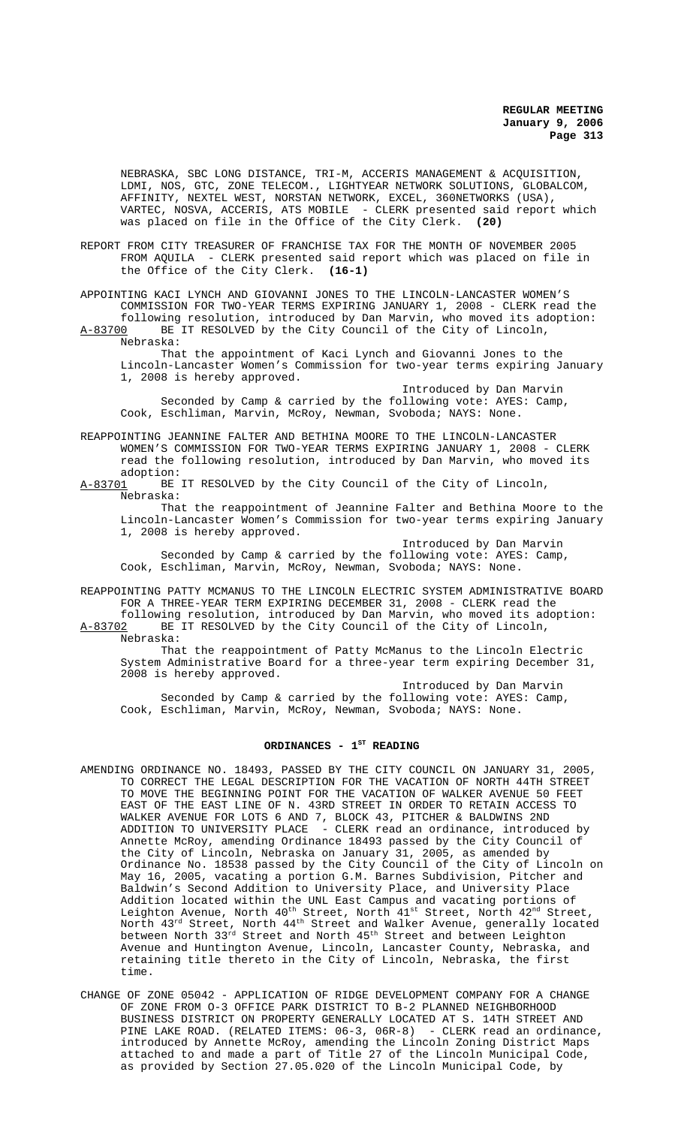NEBRASKA, SBC LONG DISTANCE, TRI-M, ACCERIS MANAGEMENT & ACQUISITION, LDMI, NOS, GTC, ZONE TELECOM., LIGHTYEAR NETWORK SOLUTIONS, GLOBALCOM, AFFINITY, NEXTEL WEST, NORSTAN NETWORK, EXCEL, 360NETWORKS (USA), VARTEC, NOSVA, ACCERIS, ATS MOBILE - CLERK presented said report which was placed on file in the Office of the City Clerk. **(20)**

REPORT FROM CITY TREASURER OF FRANCHISE TAX FOR THE MONTH OF NOVEMBER 2005 FROM AQUILA - CLERK presented said report which was placed on file in the Office of the City Clerk. **(16-1)**

APPOINTING KACI LYNCH AND GIOVANNI JONES TO THE LINCOLN-LANCASTER WOMEN'S COMMISSION FOR TWO-YEAR TERMS EXPIRING JANUARY 1, 2008 - CLERK read the following resolution, introduced by Dan Marvin, who moved its adoption:<br>A-83700 BE IT RESOLVED by the City Council of the City of Lincoln, BE IT RESOLVED by the City Council of the City of Lincoln,

Nebraska:

That the appointment of Kaci Lynch and Giovanni Jones to the Lincoln-Lancaster Women's Commission for two-year terms expiring January 1, 2008 is hereby approved.

Introduced by Dan Marvin Seconded by Camp & carried by the following vote: AYES: Camp, Cook, Eschliman, Marvin, McRoy, Newman, Svoboda; NAYS: None.

REAPPOINTING JEANNINE FALTER AND BETHINA MOORE TO THE LINCOLN-LANCASTER WOMEN'S COMMISSION FOR TWO-YEAR TERMS EXPIRING JANUARY 1, 2008 - CLERK read the following resolution, introduced by Dan Marvin, who moved its adoption:<br>A-83701 BE

BE IT RESOLVED by the City Council of the City of Lincoln, Nebraska:

That the reappointment of Jeannine Falter and Bethina Moore to the Lincoln-Lancaster Women's Commission for two-year terms expiring January 1, 2008 is hereby approved.

Introduced by Dan Marvin Seconded by Camp & carried by the following vote: AYES: Camp, Cook, Eschliman, Marvin, McRoy, Newman, Svoboda; NAYS: None.

REAPPOINTING PATTY MCMANUS TO THE LINCOLN ELECTRIC SYSTEM ADMINISTRATIVE BOARD FOR A THREE-YEAR TERM EXPIRING DECEMBER 31, 2008 - CLERK read the following resolution, introduced by Dan Marvin, who moved its adoption:<br>A-83702 BE IT RESOLVED by the City Council of the City of Lincoln, BE IT RESOLVED by the City Council of the City of Lincoln, Nebraska:

That the reappointment of Patty McManus to the Lincoln Electric System Administrative Board for a three-year term expiring December 31, 2008 is hereby approved.

Introduced by Dan Marvin Seconded by Camp & carried by the following vote: AYES: Camp, Cook, Eschliman, Marvin, McRoy, Newman, Svoboda; NAYS: None.

# ORDINANCES - 1<sup>st</sup> READING

- AMENDING ORDINANCE NO. 18493, PASSED BY THE CITY COUNCIL ON JANUARY 31, 2005, TO CORRECT THE LEGAL DESCRIPTION FOR THE VACATION OF NORTH 44TH STREET TO MOVE THE BEGINNING POINT FOR THE VACATION OF WALKER AVENUE 50 FEET EAST OF THE EAST LINE OF N. 43RD STREET IN ORDER TO RETAIN ACCESS TO WALKER AVENUE FOR LOTS 6 AND 7, BLOCK 43, PITCHER & BALDWINS 2ND ADDITION TO UNIVERSITY PLACE - CLERK read an ordinance, introduced by Annette McRoy, amending Ordinance 18493 passed by the City Council of the City of Lincoln, Nebraska on January 31, 2005, as amended by Ordinance No. 18538 passed by the City Council of the City of Lincoln on May 16, 2005, vacating a portion G.M. Barnes Subdivision, Pitcher and Baldwin's Second Addition to University Place, and University Place Addition located within the UNL East Campus and vacating portions of Leighton Avenue, North 40<sup>th</sup> Street, North 41<sup>st</sup> Street, North 42<sup>nd</sup> Street, North  $43^{\text{rd}}$  Street, North  $44^{\text{th}}$  Street and Walker Avenue, generally located between North 33<sup>rd</sup> Street and North  $45^{\rm th}$  Street and between Leighton Avenue and Huntington Avenue, Lincoln, Lancaster County, Nebraska, and retaining title thereto in the City of Lincoln, Nebraska, the first time.
- CHANGE OF ZONE 05042 APPLICATION OF RIDGE DEVELOPMENT COMPANY FOR A CHANGE OF ZONE FROM O-3 OFFICE PARK DISTRICT TO B-2 PLANNED NEIGHBORHOOD BUSINESS DISTRICT ON PROPERTY GENERALLY LOCATED AT S. 14TH STREET AND PINE LAKE ROAD. (RELATED ITEMS: 06-3, 06R-8) - CLERK read an ordinance, introduced by Annette McRoy, amending the Lincoln Zoning District Maps attached to and made a part of Title 27 of the Lincoln Municipal Code, as provided by Section 27.05.020 of the Lincoln Municipal Code, by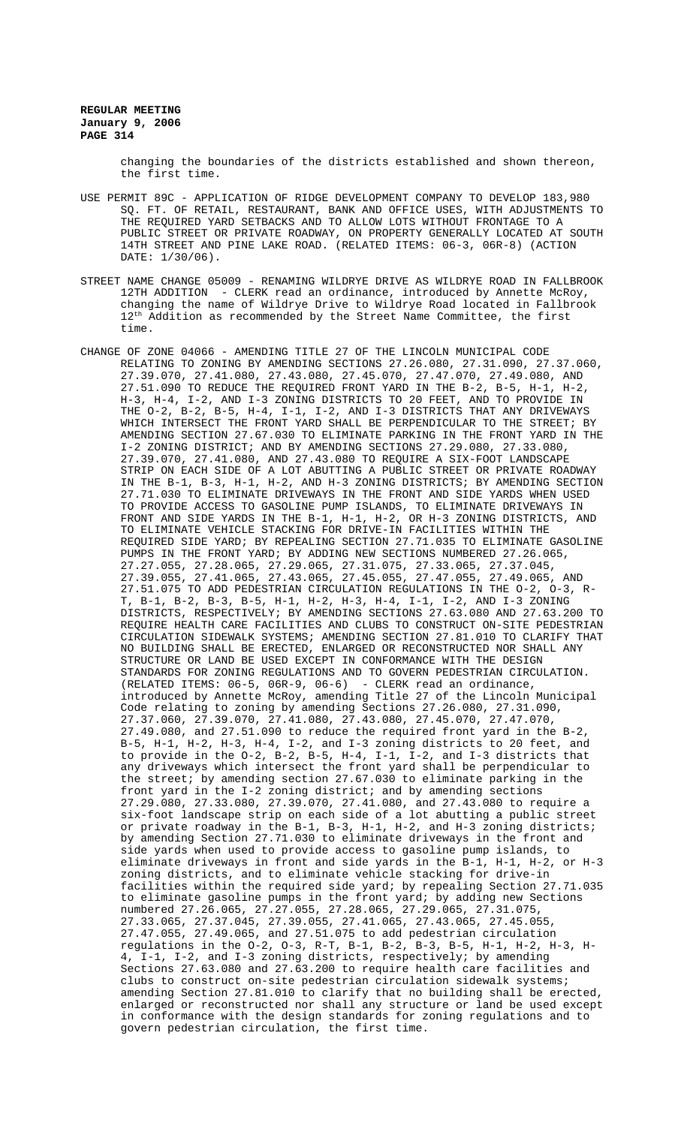changing the boundaries of the districts established and shown thereon, the first time.

- USE PERMIT 89C APPLICATION OF RIDGE DEVELOPMENT COMPANY TO DEVELOP 183,980 SQ. FT. OF RETAIL, RESTAURANT, BANK AND OFFICE USES, WITH ADJUSTMENTS TO THE REQUIRED YARD SETBACKS AND TO ALLOW LOTS WITHOUT FRONTAGE TO A PUBLIC STREET OR PRIVATE ROADWAY, ON PROPERTY GENERALLY LOCATED AT SOUTH 14TH STREET AND PINE LAKE ROAD. (RELATED ITEMS: 06-3, 06R-8) (ACTION DATE: 1/30/06).
- STREET NAME CHANGE 05009 RENAMING WILDRYE DRIVE AS WILDRYE ROAD IN FALLBROOK 12TH ADDITION - CLERK read an ordinance, introduced by Annette McRoy, changing the name of Wildrye Drive to Wildrye Road located in Fallbrook 12<sup>th</sup> Addition as recommended by the Street Name Committee, the first time.
- CHANGE OF ZONE 04066 AMENDING TITLE 27 OF THE LINCOLN MUNICIPAL CODE RELATING TO ZONING BY AMENDING SECTIONS 27.26.080, 27.31.090, 27.37.060, 27.39.070, 27.41.080, 27.43.080, 27.45.070, 27.47.070, 27.49.080, AND 27.51.090 TO REDUCE THE REQUIRED FRONT YARD IN THE B-2, B-5, H-1, H-2, H-3, H-4, I-2, AND I-3 ZONING DISTRICTS TO 20 FEET, AND TO PROVIDE IN THE O-2, B-2, B-5, H-4, I-1, I-2, AND I-3 DISTRICTS THAT ANY DRIVEWAYS WHICH INTERSECT THE FRONT YARD SHALL BE PERPENDICULAR TO THE STREET; BY AMENDING SECTION 27.67.030 TO ELIMINATE PARKING IN THE FRONT YARD IN THE I-2 ZONING DISTRICT; AND BY AMENDING SECTIONS 27.29.080, 27.33.080, 27.39.070, 27.41.080, AND 27.43.080 TO REQUIRE A SIX-FOOT LANDSCAPE STRIP ON EACH SIDE OF A LOT ABUTTING A PUBLIC STREET OR PRIVATE ROADWAY IN THE B-1, B-3, H-1, H-2, AND H-3 ZONING DISTRICTS; BY AMENDING SECTION 27.71.030 TO ELIMINATE DRIVEWAYS IN THE FRONT AND SIDE YARDS WHEN USED TO PROVIDE ACCESS TO GASOLINE PUMP ISLANDS, TO ELIMINATE DRIVEWAYS IN FRONT AND SIDE YARDS IN THE B-1, H-1, H-2, OR H-3 ZONING DISTRICTS, AND TO ELIMINATE VEHICLE STACKING FOR DRIVE-IN FACILITIES WITHIN THE REQUIRED SIDE YARD; BY REPEALING SECTION 27.71.035 TO ELIMINATE GASOLINE PUMPS IN THE FRONT YARD; BY ADDING NEW SECTIONS NUMBERED 27.26.065, 27.27.055, 27.28.065, 27.29.065, 27.31.075, 27.33.065, 27.37.045, 27.39.055, 27.41.065, 27.43.065, 27.45.055, 27.47.055, 27.49.065, AND 27.51.075 TO ADD PEDESTRIAN CIRCULATION REGULATIONS IN THE O-2, O-3, R-T, B-1, B-2, B-3, B-5, H-1, H-2, H-3, H-4, I-1, I-2, AND I-3 ZONING DISTRICTS, RESPECTIVELY; BY AMENDING SECTIONS 27.63.080 AND 27.63.200 TO REQUIRE HEALTH CARE FACILITIES AND CLUBS TO CONSTRUCT ON-SITE PEDESTRIAN CIRCULATION SIDEWALK SYSTEMS; AMENDING SECTION 27.81.010 TO CLARIFY THAT NO BUILDING SHALL BE ERECTED, ENLARGED OR RECONSTRUCTED NOR SHALL ANY STRUCTURE OR LAND BE USED EXCEPT IN CONFORMANCE WITH THE DESIGN STANDARDS FOR ZONING REGULATIONS AND TO GOVERN PEDESTRIAN CIRCULATION. (RELATED ITEMS: 06-5, 06R-9, 06-6) - CLERK read an ordinance, introduced by Annette McRoy, amending Title 27 of the Lincoln Municipal Code relating to zoning by amending Sections 27.26.080, 27.31.090, 27.37.060, 27.39.070, 27.41.080, 27.43.080, 27.45.070, 27.47.070, 27.49.080, and 27.51.090 to reduce the required front yard in the B-2, B-5, H-1, H-2, H-3, H-4, I-2, and I-3 zoning districts to 20 feet, and to provide in the O-2, B-2, B-5, H-4, I-1, I-2, and I-3 districts that any driveways which intersect the front yard shall be perpendicular to the street; by amending section 27.67.030 to eliminate parking in the front yard in the I-2 zoning district; and by amending sections 27.29.080, 27.33.080, 27.39.070, 27.41.080, and 27.43.080 to require a six-foot landscape strip on each side of a lot abutting a public street or private roadway in the B-1, B-3, H-1, H-2, and H-3 zoning districts; by amending Section 27.71.030 to eliminate driveways in the front and side yards when used to provide access to gasoline pump islands, to eliminate driveways in front and side yards in the B-1, H-1, H-2, or H-3 zoning districts, and to eliminate vehicle stacking for drive-in facilities within the required side yard; by repealing Section 27.71.035 to eliminate gasoline pumps in the front yard; by adding new Sections numbered 27.26.065, 27.27.055, 27.28.065, 27.29.065, 27.31.075, 27.33.065, 27.37.045, 27.39.055, 27.41.065, 27.43.065, 27.45.055, 27.47.055, 27.49.065, and 27.51.075 to add pedestrian circulation regulations in the O-2, O-3, R-T, B-1, B-2, B-3, B-5, H-1, H-2, H-3, H-4, I-1, I-2, and I-3 zoning districts, respectively; by amending Sections 27.63.080 and 27.63.200 to require health care facilities and clubs to construct on-site pedestrian circulation sidewalk systems; amending Section 27.81.010 to clarify that no building shall be erected, enlarged or reconstructed nor shall any structure or land be used except in conformance with the design standards for zoning regulations and to govern pedestrian circulation, the first time.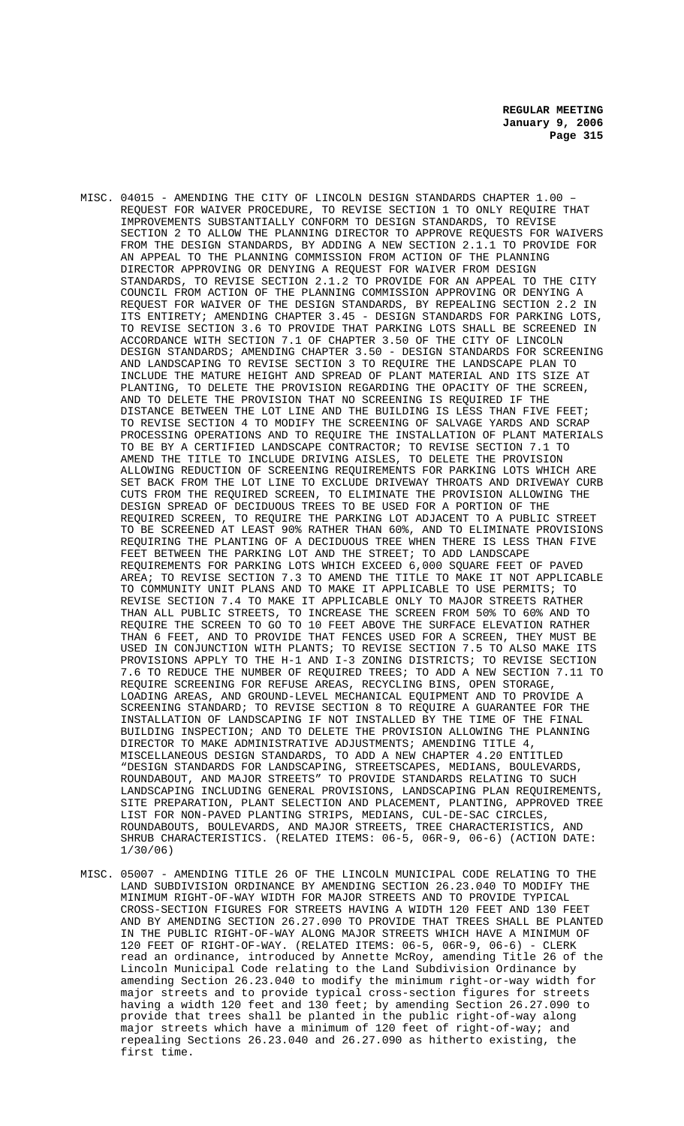- MISC. 04015 AMENDING THE CITY OF LINCOLN DESIGN STANDARDS CHAPTER 1.00 REQUEST FOR WAIVER PROCEDURE, TO REVISE SECTION 1 TO ONLY REQUIRE THAT IMPROVEMENTS SUBSTANTIALLY CONFORM TO DESIGN STANDARDS, TO REVISE SECTION 2 TO ALLOW THE PLANNING DIRECTOR TO APPROVE REQUESTS FOR WAIVERS FROM THE DESIGN STANDARDS, BY ADDING A NEW SECTION 2.1.1 TO PROVIDE FOR AN APPEAL TO THE PLANNING COMMISSION FROM ACTION OF THE PLANNING DIRECTOR APPROVING OR DENYING A REQUEST FOR WAIVER FROM DESIGN STANDARDS, TO REVISE SECTION 2.1.2 TO PROVIDE FOR AN APPEAL TO THE CITY COUNCIL FROM ACTION OF THE PLANNING COMMISSION APPROVING OR DENYING A REQUEST FOR WAIVER OF THE DESIGN STANDARDS, BY REPEALING SECTION 2.2 IN ITS ENTIRETY; AMENDING CHAPTER 3.45 - DESIGN STANDARDS FOR PARKING LOTS, TO REVISE SECTION 3.6 TO PROVIDE THAT PARKING LOTS SHALL BE SCREENED IN ACCORDANCE WITH SECTION 7.1 OF CHAPTER 3.50 OF THE CITY OF LINCOLN DESIGN STANDARDS; AMENDING CHAPTER 3.50 - DESIGN STANDARDS FOR SCREENING AND LANDSCAPING TO REVISE SECTION 3 TO REQUIRE THE LANDSCAPE PLAN TO INCLUDE THE MATURE HEIGHT AND SPREAD OF PLANT MATERIAL AND ITS SIZE AT PLANTING, TO DELETE THE PROVISION REGARDING THE OPACITY OF THE SCREEN, AND TO DELETE THE PROVISION THAT NO SCREENING IS REQUIRED IF THE DISTANCE BETWEEN THE LOT LINE AND THE BUILDING IS LESS THAN FIVE FEET; TO REVISE SECTION 4 TO MODIFY THE SCREENING OF SALVAGE YARDS AND SCRAP PROCESSING OPERATIONS AND TO REQUIRE THE INSTALLATION OF PLANT MATERIALS TO BE BY A CERTIFIED LANDSCAPE CONTRACTOR; TO REVISE SECTION 7.1 TO AMEND THE TITLE TO INCLUDE DRIVING AISLES, TO DELETE THE PROVISION ALLOWING REDUCTION OF SCREENING REQUIREMENTS FOR PARKING LOTS WHICH ARE SET BACK FROM THE LOT LINE TO EXCLUDE DRIVEWAY THROATS AND DRIVEWAY CURB CUTS FROM THE REQUIRED SCREEN, TO ELIMINATE THE PROVISION ALLOWING THE DESIGN SPREAD OF DECIDUOUS TREES TO BE USED FOR A PORTION OF THE REQUIRED SCREEN, TO REQUIRE THE PARKING LOT ADJACENT TO A PUBLIC STREET TO BE SCREENED AT LEAST 90% RATHER THAN 60%, AND TO ELIMINATE PROVISIONS REQUIRING THE PLANTING OF A DECIDUOUS TREE WHEN THERE IS LESS THAN FIVE FEET BETWEEN THE PARKING LOT AND THE STREET; TO ADD LANDSCAPE REQUIREMENTS FOR PARKING LOTS WHICH EXCEED 6,000 SQUARE FEET OF PAVED AREA; TO REVISE SECTION 7.3 TO AMEND THE TITLE TO MAKE IT NOT APPLICABLE TO COMMUNITY UNIT PLANS AND TO MAKE IT APPLICABLE TO USE PERMITS; TO REVISE SECTION 7.4 TO MAKE IT APPLICABLE ONLY TO MAJOR STREETS RATHER THAN ALL PUBLIC STREETS, TO INCREASE THE SCREEN FROM 50% TO 60% AND TO REQUIRE THE SCREEN TO GO TO 10 FEET ABOVE THE SURFACE ELEVATION RATHER THAN 6 FEET, AND TO PROVIDE THAT FENCES USED FOR A SCREEN, THEY MUST BE USED IN CONJUNCTION WITH PLANTS; TO REVISE SECTION 7.5 TO ALSO MAKE ITS PROVISIONS APPLY TO THE H-1 AND I-3 ZONING DISTRICTS; TO REVISE SECTION 7.6 TO REDUCE THE NUMBER OF REQUIRED TREES; TO ADD A NEW SECTION 7.11 TO REQUIRE SCREENING FOR REFUSE AREAS, RECYCLING BINS, OPEN STORAGE, LOADING AREAS, AND GROUND-LEVEL MECHANICAL EQUIPMENT AND TO PROVIDE A SCREENING STANDARD; TO REVISE SECTION 8 TO REQUIRE A GUARANTEE FOR THE INSTALLATION OF LANDSCAPING IF NOT INSTALLED BY THE TIME OF THE FINAL BUILDING INSPECTION; AND TO DELETE THE PROVISION ALLOWING THE PLANNING DIRECTOR TO MAKE ADMINISTRATIVE ADJUSTMENTS; AMENDING TITLE 4, MISCELLANEOUS DESIGN STANDARDS, TO ADD A NEW CHAPTER 4.20 ENTITLED "DESIGN STANDARDS FOR LANDSCAPING, STREETSCAPES, MEDIANS, BOULEVARDS, ROUNDABOUT, AND MAJOR STREETS" TO PROVIDE STANDARDS RELATING TO SUCH LANDSCAPING INCLUDING GENERAL PROVISIONS, LANDSCAPING PLAN REQUIREMENTS, SITE PREPARATION, PLANT SELECTION AND PLACEMENT, PLANTING, APPROVED TREE LIST FOR NON-PAVED PLANTING STRIPS, MEDIANS, CUL-DE-SAC CIRCLES, ROUNDABOUTS, BOULEVARDS, AND MAJOR STREETS, TREE CHARACTERISTICS, AND SHRUB CHARACTERISTICS. (RELATED ITEMS: 06-5, 06R-9, 06-6) (ACTION DATE: 1/30/06)
- MISC. 05007 AMENDING TITLE 26 OF THE LINCOLN MUNICIPAL CODE RELATING TO THE LAND SUBDIVISION ORDINANCE BY AMENDING SECTION 26.23.040 TO MODIFY THE MINIMUM RIGHT-OF-WAY WIDTH FOR MAJOR STREETS AND TO PROVIDE TYPICAL CROSS-SECTION FIGURES FOR STREETS HAVING A WIDTH 120 FEET AND 130 FEET AND BY AMENDING SECTION 26.27.090 TO PROVIDE THAT TREES SHALL BE PLANTED IN THE PUBLIC RIGHT-OF-WAY ALONG MAJOR STREETS WHICH HAVE A MINIMUM OF 120 FEET OF RIGHT-OF-WAY. (RELATED ITEMS: 06-5, 06R-9, 06-6) - CLERK read an ordinance, introduced by Annette McRoy, amending Title 26 of the Lincoln Municipal Code relating to the Land Subdivision Ordinance by amending Section 26.23.040 to modify the minimum right-or-way width for major streets and to provide typical cross-section figures for streets having a width 120 feet and 130 feet; by amending Section 26.27.090 to provide that trees shall be planted in the public right-of-way along major streets which have a minimum of 120 feet of right-of-way; and repealing Sections 26.23.040 and 26.27.090 as hitherto existing, the first time.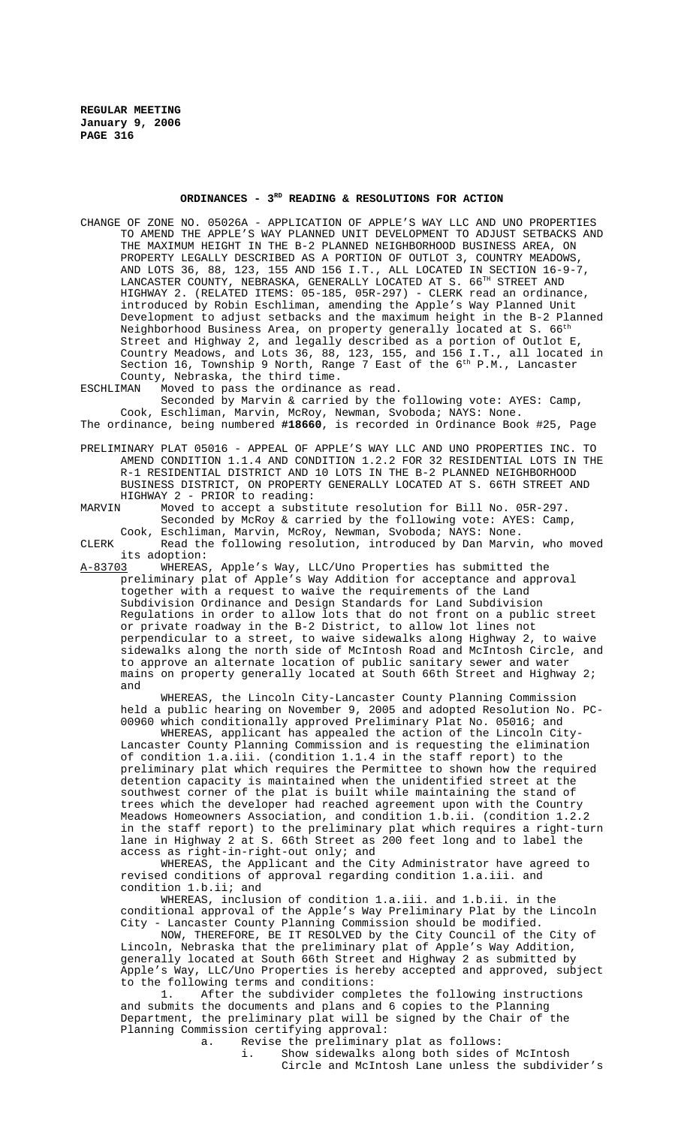# ORDINANCES - 3<sup>RD</sup> READING & RESOLUTIONS FOR ACTION

- CHANGE OF ZONE NO. 05026A APPLICATION OF APPLE'S WAY LLC AND UNO PROPERTIES TO AMEND THE APPLE'S WAY PLANNED UNIT DEVELOPMENT TO ADJUST SETBACKS AND THE MAXIMUM HEIGHT IN THE B-2 PLANNED NEIGHBORHOOD BUSINESS AREA, ON PROPERTY LEGALLY DESCRIBED AS A PORTION OF OUTLOT 3, COUNTRY MEADOWS AND LOTS 36, 88, 123, 155 AND 156 I.T., ALL LOCATED IN SECTION 16-9-7, LANCASTER COUNTY, NEBRASKA, GENERALLY LOCATED AT S. 66TH STREET AND HIGHWAY 2. (RELATED ITEMS: 05-185, 05R-297) - CLERK read an ordinance, introduced by Robin Eschliman, amending the Apple's Way Planned Unit Development to adjust setbacks and the maximum height in the B-2 Planned Neighborhood Business Area, on property generally located at S. 66<sup>th</sup> Street and Highway 2, and legally described as a portion of Outlot E, Country Meadows, and Lots 36, 88, 123, 155, and 156 I.T., all located in Section 16, Township 9 North, Range 7 East of the 6<sup>th</sup> P.M., Lancaster County, Nebraska, the third time.
- ESCHLIMAN Moved to pass the ordinance as read.

Seconded by Marvin & carried by the following vote: AYES: Camp, Cook, Eschliman, Marvin, McRoy, Newman, Svoboda; NAYS: None. The ordinance, being numbered **#18660**, is recorded in Ordinance Book #25, Page

PRELIMINARY PLAT 05016 - APPEAL OF APPLE'S WAY LLC AND UNO PROPERTIES INC. TO AMEND CONDITION 1.1.4 AND CONDITION 1.2.2 FOR 32 RESIDENTIAL LOTS IN THE R-1 RESIDENTIAL DISTRICT AND 10 LOTS IN THE B-2 PLANNED NEIGHBORHOOD BUSINESS DISTRICT, ON PROPERTY GENERALLY LOCATED AT S. 66TH STREET AND HIGHWAY 2 - PRIOR to reading:

MARVIN Moved to accept a substitute resolution for Bill No. 05R-297. Seconded by McRoy & carried by the following vote: AYES: Camp, Cook, Eschliman, Marvin, McRoy, Newman, Svoboda; NAYS: None.

CLERK Read the following resolution, introduced by Dan Marvin, who moved its adoption:

A-83703 WHEREAS, Apple's Way, LLC/Uno Properties has submitted the preliminary plat of Apple's Way Addition for acceptance and approval together with a request to waive the requirements of the Land Subdivision Ordinance and Design Standards for Land Subdivision Regulations in order to allow lots that do not front on a public street or private roadway in the B-2 District, to allow lot lines not perpendicular to a street, to waive sidewalks along Highway 2, to waive sidewalks along the north side of McIntosh Road and McIntosh Circle, and to approve an alternate location of public sanitary sewer and water mains on property generally located at South 66th Street and Highway 2; and

WHEREAS, the Lincoln City-Lancaster County Planning Commission held a public hearing on November 9, 2005 and adopted Resolution No. PC-00960 which conditionally approved Preliminary Plat No. 05016; and

WHEREAS, applicant has appealed the action of the Lincoln City-Lancaster County Planning Commission and is requesting the elimination of condition 1.a.iii. (condition 1.1.4 in the staff report) to the preliminary plat which requires the Permittee to shown how the required detention capacity is maintained when the unidentified street at the southwest corner of the plat is built while maintaining the stand of trees which the developer had reached agreement upon with the Country Meadows Homeowners Association, and condition 1.b.ii. (condition 1.2.2 in the staff report) to the preliminary plat which requires a right-turn lane in Highway 2 at S. 66th Street as 200 feet long and to label the access as right-in-right-out only; and

WHEREAS, the Applicant and the City Administrator have agreed to revised conditions of approval regarding condition 1.a.iii. and condition 1.b.ii; and

WHEREAS, inclusion of condition 1.a.iii. and 1.b.ii. in the conditional approval of the Apple's Way Preliminary Plat by the Lincoln City - Lancaster County Planning Commission should be modified.

NOW, THEREFORE, BE IT RESOLVED by the City Council of the City of Lincoln, Nebraska that the preliminary plat of Apple's Way Addition, generally located at South 66th Street and Highway 2 as submitted by Apple's Way, LLC/Uno Properties is hereby accepted and approved, subject to the following terms and conditions:<br>1. After the subdivider compl

After the subdivider completes the following instructions and submits the documents and plans and 6 copies to the Planning Department, the preliminary plat will be signed by the Chair of the Planning Commission certifying approval:

a. Revise the preliminary plat as follows:

i. Show sidewalks along both sides of McIntosh

Circle and McIntosh Lane unless the subdivider's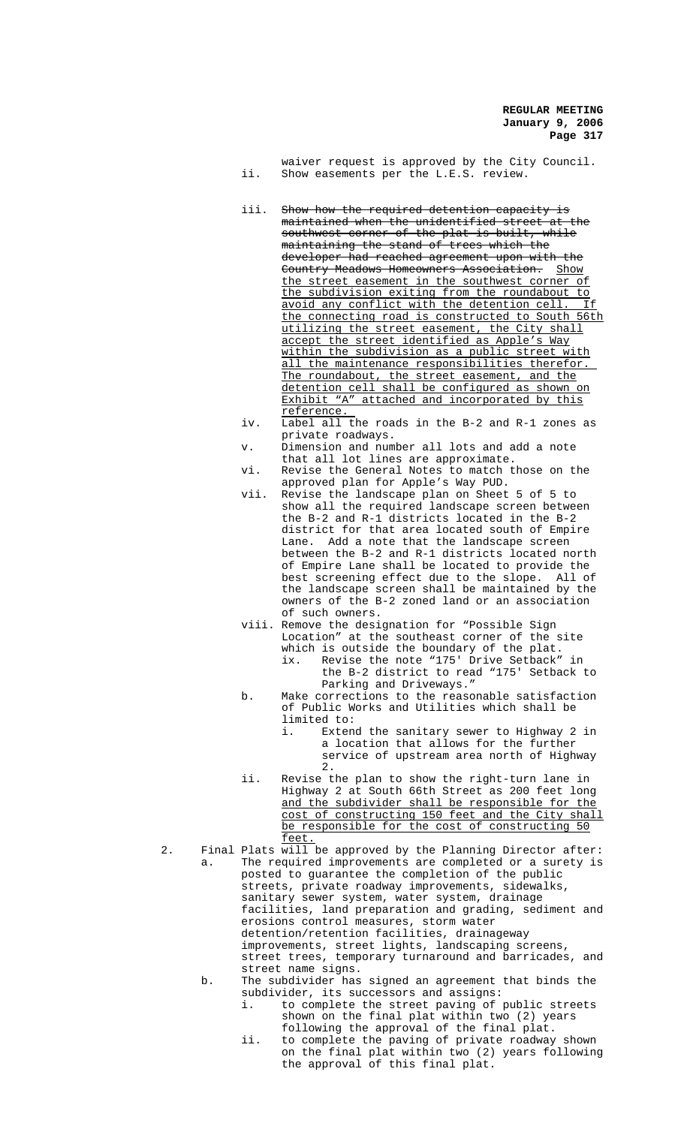waiver request is approved by the City Council. ii. Show easements per the L.E.S. review.

- iii. Show how the required detention capacity is maintained when the unidentified street at the southwest corner of the plat is built, while maintaining the stand of trees which the developer had reached agreement upon with the Country Meadows Homeowners Association. Show the street easement in the southwest corner of the subdivision exiting from the roundabout to avoid any conflict with the detention cell. If the connecting road is constructed to South 56th utilizing the street easement, the City shall accept the street identified as Apple's Way within the subdivision as a public street with all the maintenance responsibilities therefor. The roundabout, the street easement, and the detention cell shall be configured as shown on Exhibit "A" attached and incorporated by this reference.
- iv. Label all the roads in the B-2 and R-1 zones as private roadways.
- v. Dimension and number all lots and add a note that all lot lines are approximate.
- vi. Revise the General Notes to match those on the approved plan for Apple's Way PUD.
- vii. Revise the landscape plan on Sheet 5 of 5 to show all the required landscape screen between the B-2 and R-1 districts located in the B-2 district for that area located south of Empire Lane. Add a note that the landscape screen between the B-2 and R-1 districts located north of Empire Lane shall be located to provide the best screening effect due to the slope. All of the landscape screen shall be maintained by the owners of the B-2 zoned land or an association of such owners.
- viii. Remove the designation for "Possible Sign Location" at the southeast corner of the site which is outside the boundary of the plat.
	- ix. Revise the note "175' Drive Setback" in the B-2 district to read "175' Setback to Parking and Driveways."
- b. Make corrections to the reasonable satisfaction of Public Works and Utilities which shall be limited to:<br>i. Exten
	- Extend the sanitary sewer to Highway 2 in a location that allows for the further service of upstream area north of Highway  $2.$
- ii. Revise the plan to show the right-turn lane in Highway 2 at South 66th Street as 200 feet long and the subdivider shall be responsible for the cost of constructing 150 feet and the City shall be responsible for the cost of constructing 50 feet.
- 2. Final Plats will be approved by the Planning Director after: a. The required improvements are completed or a surety is posted to guarantee the completion of the public streets, private roadway improvements, sidewalks, sanitary sewer system, water system, drainage facilities, land preparation and grading, sediment and erosions control measures, storm water detention/retention facilities, drainageway improvements, street lights, landscaping screens, street trees, temporary turnaround and barricades, and street name signs. b. The subdivider has signed an agreement that binds the
	- subdivider, its successors and assigns:
		- i. to complete the street paving of public streets shown on the final plat within two (2) years following the approval of the final plat.
		- ii. to complete the paving of private roadway shown on the final plat within two (2) years following the approval of this final plat.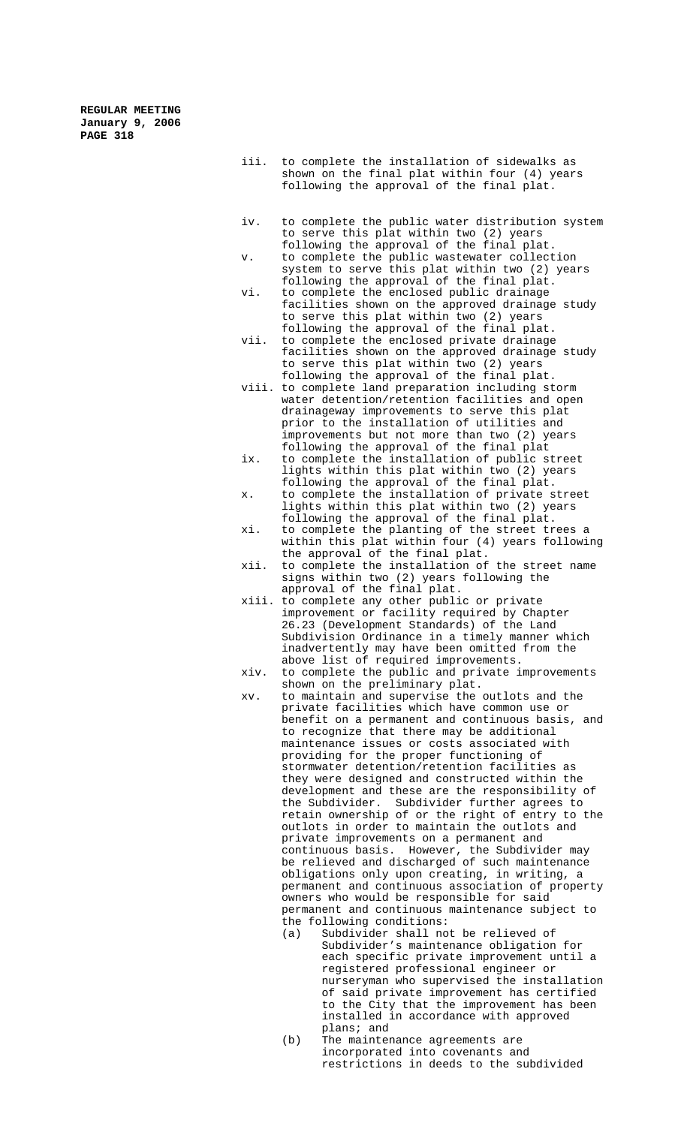- iii. to complete the installation of sidewalks as shown on the final plat within four (4) years following the approval of the final plat.
- iv. to complete the public water distribution system to serve this plat within two (2) years following the approval of the final plat.
- v. to complete the public wastewater collection system to serve this plat within two (2) years following the approval of the final plat.
- vi. to complete the enclosed public drainage facilities shown on the approved drainage study to serve this plat within two (2) years following the approval of the final plat.
- vii. to complete the enclosed private drainage facilities shown on the approved drainage study to serve this plat within two (2) years following the approval of the final plat.
- viii. to complete land preparation including storm water detention/retention facilities and open drainageway improvements to serve this plat prior to the installation of utilities and improvements but not more than two (2) years following the approval of the final plat
- ix. to complete the installation of public street lights within this plat within two (2) years following the approval of the final plat.
- x. to complete the installation of private street lights within this plat within two (2) years following the approval of the final plat.
- xi. to complete the planting of the street trees a within this plat within four (4) years following the approval of the final plat.
- xii. to complete the installation of the street name signs within two (2) years following the approval of the final plat.
- xiii. to complete any other public or private improvement or facility required by Chapter 26.23 (Development Standards) of the Land Subdivision Ordinance in a timely manner which inadvertently may have been omitted from the above list of required improvements.
- xiv. to complete the public and private improvements shown on the preliminary plat.
- xv. to maintain and supervise the outlots and the private facilities which have common use or benefit on a permanent and continuous basis, and to recognize that there may be additional maintenance issues or costs associated with providing for the proper functioning of stormwater detention/retention facilities as they were designed and constructed within the development and these are the responsibility of the Subdivider. Subdivider further agrees to retain ownership of or the right of entry to the outlots in order to maintain the outlots and private improvements on a permanent and continuous basis. However, the Subdivider may be relieved and discharged of such maintenance obligations only upon creating, in writing, a permanent and continuous association of property owners who would be responsible for said permanent and continuous maintenance subject to the following conditions:
	- (a) Subdivider shall not be relieved of Subdivider's maintenance obligation for each specific private improvement until a registered professional engineer or nurseryman who supervised the installation of said private improvement has certified to the City that the improvement has been installed in accordance with approved plans; and
	- (b) The maintenance agreements are incorporated into covenants and restrictions in deeds to the subdivided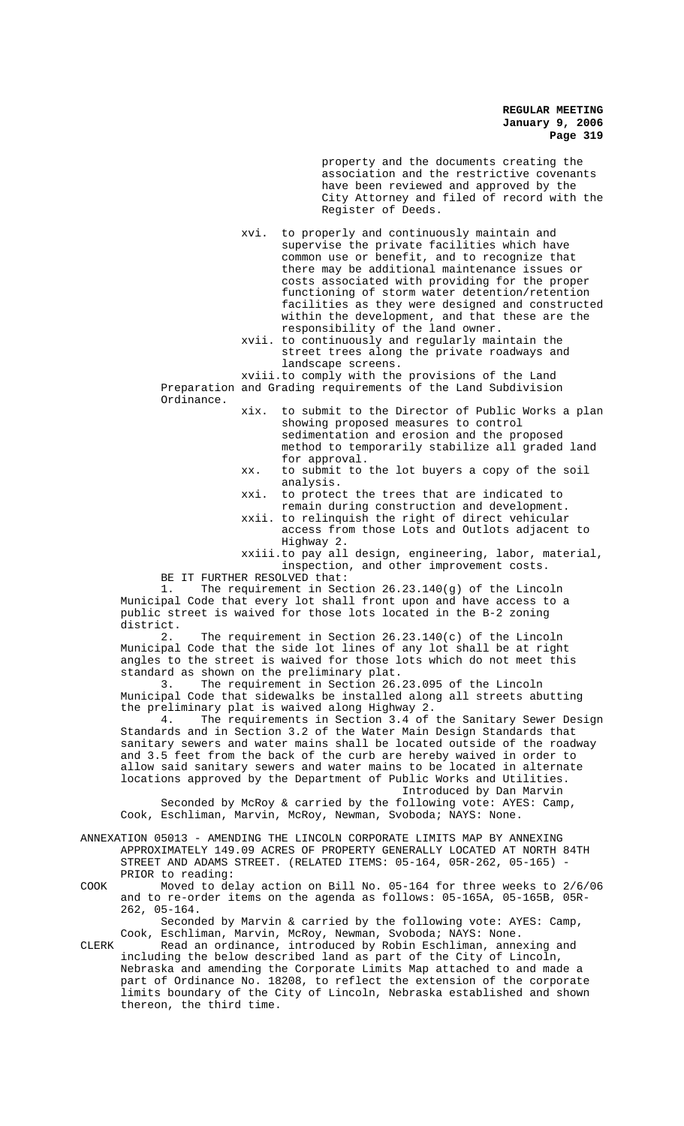property and the documents creating the association and the restrictive covenants have been reviewed and approved by the City Attorney and filed of record with the Register of Deeds.

xvi. to properly and continuously maintain and supervise the private facilities which have common use or benefit, and to recognize that there may be additional maintenance issues or costs associated with providing for the proper functioning of storm water detention/retention facilities as they were designed and constructed within the development, and that these are the responsibility of the land owner.

xvii. to continuously and regularly maintain the street trees along the private roadways and landscape screens.

xviii.to comply with the provisions of the Land Preparation and Grading requirements of the Land Subdivision

Ordinance.

xix. to submit to the Director of Public Works a plan showing proposed measures to control sedimentation and erosion and the proposed method to temporarily stabilize all graded land for approval.

- xx. to submit to the lot buyers a copy of the soil analysis.
- xxi. to protect the trees that are indicated to remain during construction and development.
- xxii. to relinquish the right of direct vehicular access from those Lots and Outlots adjacent to Highway 2.
- xxiii.to pay all design, engineering, labor, material, inspection, and other improvement costs.

BE IT FURTHER RESOLVED that:<br>1. The requirement in Sec

The requirement in Section  $26.23.140(g)$  of the Lincoln Municipal Code that every lot shall front upon and have access to a public street is waived for those lots located in the B-2 zoning district.<br>2.

The requirement in Section  $26.23.140(c)$  of the Lincoln Municipal Code that the side lot lines of any lot shall be at right angles to the street is waived for those lots which do not meet this standard as shown on the preliminary plat.

3. The requirement in Section 26.23.095 of the Lincoln Municipal Code that sidewalks be installed along all streets abutting the preliminary plat is waived along Highway 2.

4. The requirements in Section 3.4 of the Sanitary Sewer Design Standards and in Section 3.2 of the Water Main Design Standards that sanitary sewers and water mains shall be located outside of the roadway and 3.5 feet from the back of the curb are hereby waived in order to allow said sanitary sewers and water mains to be located in alternate locations approved by the Department of Public Works and Utilities. Introduced by Dan Marvin

Seconded by McRoy & carried by the following vote: AYES: Camp, Cook, Eschliman, Marvin, McRoy, Newman, Svoboda; NAYS: None.

ANNEXATION 05013 - AMENDING THE LINCOLN CORPORATE LIMITS MAP BY ANNEXING APPROXIMATELY 149.09 ACRES OF PROPERTY GENERALLY LOCATED AT NORTH 84TH STREET AND ADAMS STREET. (RELATED ITEMS: 05-164, 05R-262, 05-165) PRIOR to reading:

COOK Moved to delay action on Bill No. 05-164 for three weeks to 2/6/06 and to re-order items on the agenda as follows: 05-165A, 05-165B, 05R-262, 05-164.

Seconded by Marvin & carried by the following vote: AYES: Camp, Cook, Eschliman, Marvin, McRoy, Newman, Svoboda; NAYS: None.

CLERK Read an ordinance, introduced by Robin Eschliman, annexing and including the below described land as part of the City of Lincoln, Nebraska and amending the Corporate Limits Map attached to and made a part of Ordinance No. 18208, to reflect the extension of the corporate limits boundary of the City of Lincoln, Nebraska established and shown thereon, the third time.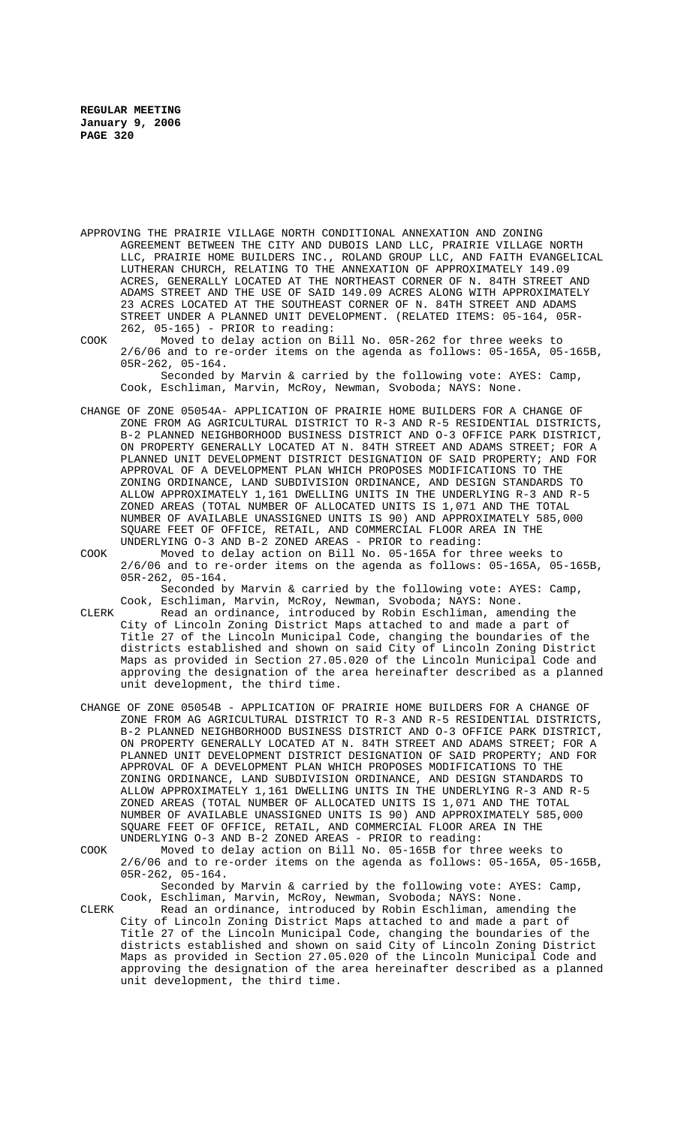APPROVING THE PRAIRIE VILLAGE NORTH CONDITIONAL ANNEXATION AND ZONING AGREEMENT BETWEEN THE CITY AND DUBOIS LAND LLC, PRAIRIE VILLAGE NORTH LLC, PRAIRIE HOME BUILDERS INC., ROLAND GROUP LLC, AND FAITH EVANGELICAL LUTHERAN CHURCH, RELATING TO THE ANNEXATION OF APPROXIMATELY 149.09 ACRES, GENERALLY LOCATED AT THE NORTHEAST CORNER OF N. 84TH STREET AND ADAMS STREET AND THE USE OF SAID 149.09 ACRES ALONG WITH APPROXIMATELY 23 ACRES LOCATED AT THE SOUTHEAST CORNER OF N. 84TH STREET AND ADAMS STREET UNDER A PLANNED UNIT DEVELOPMENT. (RELATED ITEMS: 05-164, 05R-262, 05-165) - PRIOR to reading:

COOK Moved to delay action on Bill No. 05R-262 for three weeks to 2/6/06 and to re-order items on the agenda as follows: 05-165A, 05-165B, 05R-262, 05-164. Seconded by Marvin & carried by the following vote: AYES: Camp,

Cook, Eschliman, Marvin, McRoy, Newman, Svoboda; NAYS: None.

- CHANGE OF ZONE 05054A- APPLICATION OF PRAIRIE HOME BUILDERS FOR A CHANGE OF ZONE FROM AG AGRICULTURAL DISTRICT TO R-3 AND R-5 RESIDENTIAL DISTRICTS, B-2 PLANNED NEIGHBORHOOD BUSINESS DISTRICT AND O-3 OFFICE PARK DISTRICT, ON PROPERTY GENERALLY LOCATED AT N. 84TH STREET AND ADAMS STREET; FOR A PLANNED UNIT DEVELOPMENT DISTRICT DESIGNATION OF SAID PROPERTY; AND FOR APPROVAL OF A DEVELOPMENT PLAN WHICH PROPOSES MODIFICATIONS TO THE ZONING ORDINANCE, LAND SUBDIVISION ORDINANCE, AND DESIGN STANDARDS TO ALLOW APPROXIMATELY 1,161 DWELLING UNITS IN THE UNDERLYING R-3 AND R-5 ZONED AREAS (TOTAL NUMBER OF ALLOCATED UNITS IS 1,071 AND THE TOTAL NUMBER OF AVAILABLE UNASSIGNED UNITS IS 90) AND APPROXIMATELY 585,000 SQUARE FEET OF OFFICE, RETAIL, AND COMMERCIAL FLOOR AREA IN THE UNDERLYING O-3 AND B-2 ZONED AREAS - PRIOR to reading:
- COOK Moved to delay action on Bill No. 05-165A for three weeks to 2/6/06 and to re-order items on the agenda as follows: 05-165A, 05-165B, 05R-262, 05-164.

Seconded by Marvin & carried by the following vote: AYES: Camp, Cook, Eschliman, Marvin, McRoy, Newman, Svoboda; NAYS: None.

CLERK Read an ordinance, introduced by Robin Eschliman, amending the City of Lincoln Zoning District Maps attached to and made a part of Title 27 of the Lincoln Municipal Code, changing the boundaries of the districts established and shown on said City of Lincoln Zoning District Maps as provided in Section 27.05.020 of the Lincoln Municipal Code and approving the designation of the area hereinafter described as a planned unit development, the third time.

CHANGE OF ZONE 05054B - APPLICATION OF PRAIRIE HOME BUILDERS FOR A CHANGE OF ZONE FROM AG AGRICULTURAL DISTRICT TO R-3 AND R-5 RESIDENTIAL DISTRICTS, B-2 PLANNED NEIGHBORHOOD BUSINESS DISTRICT AND O-3 OFFICE PARK DISTRICT, ON PROPERTY GENERALLY LOCATED AT N. 84TH STREET AND ADAMS STREET; FOR A PLANNED UNIT DEVELOPMENT DISTRICT DESIGNATION OF SAID PROPERTY; AND FOR APPROVAL OF A DEVELOPMENT PLAN WHICH PROPOSES MODIFICATIONS TO THE ZONING ORDINANCE, LAND SUBDIVISION ORDINANCE, AND DESIGN STANDARDS TO ALLOW APPROXIMATELY 1,161 DWELLING UNITS IN THE UNDERLYING R-3 AND R-5 ZONED AREAS (TOTAL NUMBER OF ALLOCATED UNITS IS 1,071 AND THE TOTAL NUMBER OF AVAILABLE UNASSIGNED UNITS IS 90) AND APPROXIMATELY 585,000 SQUARE FEET OF OFFICE, RETAIL, AND COMMERCIAL FLOOR AREA IN THE UNDERLYING O-3 AND B-2 ZONED AREAS - PRIOR to reading:

COOK Moved to delay action on Bill No. 05-165B for three weeks to 2/6/06 and to re-order items on the agenda as follows: 05-165A, 05-165B, 05R-262, 05-164.

Seconded by Marvin & carried by the following vote: AYES: Camp, Cook, Eschliman, Marvin, McRoy, Newman, Svoboda; NAYS: None.

CLERK Read an ordinance, introduced by Robin Eschliman, amending the City of Lincoln Zoning District Maps attached to and made a part of Title 27 of the Lincoln Municipal Code, changing the boundaries of the districts established and shown on said City of Lincoln Zoning District Maps as provided in Section 27.05.020 of the Lincoln Municipal Code and approving the designation of the area hereinafter described as a planned unit development, the third time.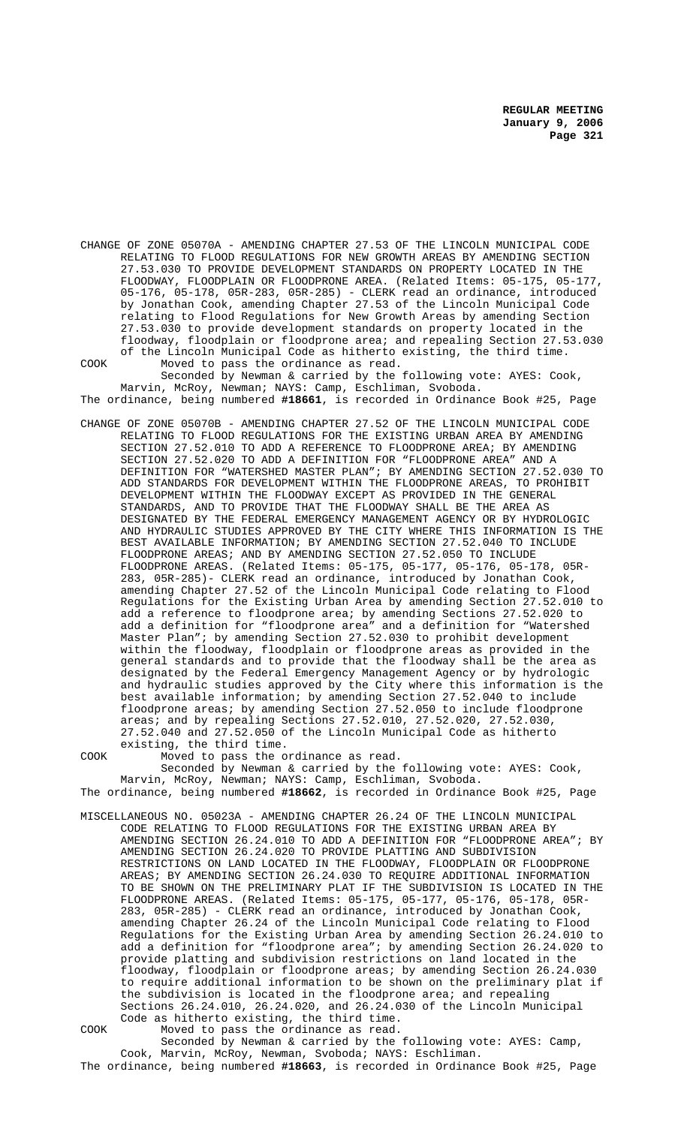CHANGE OF ZONE 05070A - AMENDING CHAPTER 27.53 OF THE LINCOLN MUNICIPAL CODE RELATING TO FLOOD REGULATIONS FOR NEW GROWTH AREAS BY AMENDING SECTION 27.53.030 TO PROVIDE DEVELOPMENT STANDARDS ON PROPERTY LOCATED IN THE FLOODWAY, FLOODPLAIN OR FLOODPRONE AREA. (Related Items: 05-175, 05-177, 05-176, 05-178, 05R-283, 05R-285) - CLERK read an ordinance, introduced by Jonathan Cook, amending Chapter 27.53 of the Lincoln Municipal Code relating to Flood Regulations for New Growth Areas by amending Section 27.53.030 to provide development standards on property located in the floodway, floodplain or floodprone area; and repealing Section 27.53.030 of the Lincoln Municipal Code as hitherto existing, the third time.

COOK Moved to pass the ordinance as read. Seconded by Newman & carried by the following vote: AYES: Cook, Marvin, McRoy, Newman; NAYS: Camp, Eschliman, Svoboda.

The ordinance, being numbered **#18661**, is recorded in Ordinance Book #25, Page CHANGE OF ZONE 05070B - AMENDING CHAPTER 27.52 OF THE LINCOLN MUNICIPAL CODE

RELATING TO FLOOD REGULATIONS FOR THE EXISTING URBAN AREA BY AMENDING SECTION 27.52.010 TO ADD A REFERENCE TO FLOODPRONE AREA; BY AMENDING SECTION 27.52.020 TO ADD A DEFINITION FOR "FLOODPRONE AREA" AND A DEFINITION FOR "WATERSHED MASTER PLAN"; BY AMENDING SECTION 27.52.030 TO ADD STANDARDS FOR DEVELOPMENT WITHIN THE FLOODPRONE AREAS, TO PROHIBIT DEVELOPMENT WITHIN THE FLOODWAY EXCEPT AS PROVIDED IN THE GENERAL STANDARDS, AND TO PROVIDE THAT THE FLOODWAY SHALL BE THE AREA AS DESIGNATED BY THE FEDERAL EMERGENCY MANAGEMENT AGENCY OR BY HYDROLOGIC AND HYDRAULIC STUDIES APPROVED BY THE CITY WHERE THIS INFORMATION IS THE BEST AVAILABLE INFORMATION; BY AMENDING SECTION 27.52.040 TO INCLUDE FLOODPRONE AREAS; AND BY AMENDING SECTION 27.52.050 TO INCLUDE FLOODPRONE AREAS. (Related Items: 05-175, 05-177, 05-176, 05-178, 05R-283, 05R-285)- CLERK read an ordinance, introduced by Jonathan Cook, amending Chapter 27.52 of the Lincoln Municipal Code relating to Flood Regulations for the Existing Urban Area by amending Section 27.52.010 to add a reference to floodprone area; by amending Sections 27.52.020 to add a definition for "floodprone area" and a definition for "Watershed Master Plan"; by amending Section 27.52.030 to prohibit development within the floodway, floodplain or floodprone areas as provided in the general standards and to provide that the floodway shall be the area as designated by the Federal Emergency Management Agency or by hydrologic and hydraulic studies approved by the City where this information is the best available information; by amending Section 27.52.040 to include floodprone areas; by amending Section 27.52.050 to include floodprone areas; and by repealing Sections 27.52.010, 27.52.020, 27.52.030, 27.52.040 and 27.52.050 of the Lincoln Municipal Code as hitherto existing, the third time.

COOK Moved to pass the ordinance as read. Seconded by Newman & carried by the following vote: AYES: Cook, Marvin, McRoy, Newman; NAYS: Camp, Eschliman, Svoboda. The ordinance, being numbered **#18662**, is recorded in Ordinance Book #25, Page

MISCELLANEOUS NO. 05023A - AMENDING CHAPTER 26.24 OF THE LINCOLN MUNICIPAL CODE RELATING TO FLOOD REGULATIONS FOR THE EXISTING URBAN AREA BY AMENDING SECTION 26.24.010 TO ADD A DEFINITION FOR "FLOODPRONE AREA"; BY AMENDING SECTION 26.24.020 TO PROVIDE PLATTING AND SUBDIVISION RESTRICTIONS ON LAND LOCATED IN THE FLOODWAY, FLOODPLAIN OR FLOODPRONE AREAS; BY AMENDING SECTION 26.24.030 TO REQUIRE ADDITIONAL INFORMATION TO BE SHOWN ON THE PRELIMINARY PLAT IF THE SUBDIVISION IS LOCATED IN THE FLOODPRONE AREAS. (Related Items: 05-175, 05-177, 05-176, 05-178, 05R-283, 05R-285) - CLERK read an ordinance, introduced by Jonathan Cook, amending Chapter 26.24 of the Lincoln Municipal Code relating to Flood Regulations for the Existing Urban Area by amending Section 26.24.010 to add a definition for "floodprone area"; by amending Section 26.24.020 to provide platting and subdivision restrictions on land located in the floodway, floodplain or floodprone areas; by amending Section 26.24.030 to require additional information to be shown on the preliminary plat if the subdivision is located in the floodprone area; and repealing Sections 26.24.010, 26.24.020, and 26.24.030 of the Lincoln Municipal Code as hitherto existing, the third time.

COOK Moved to pass the ordinance as read. Seconded by Newman & carried by the following vote: AYES: Camp, Cook, Marvin, McRoy, Newman, Svoboda; NAYS: Eschliman.

The ordinance, being numbered **#18663**, is recorded in Ordinance Book #25, Page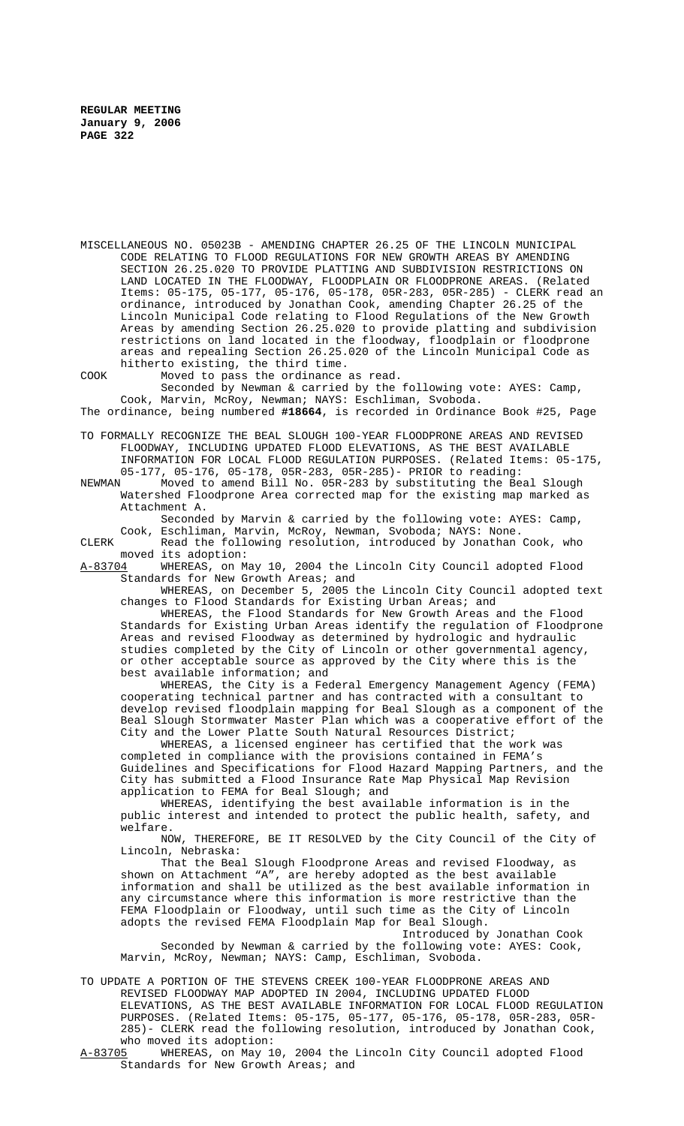MISCELLANEOUS NO. 05023B - AMENDING CHAPTER 26.25 OF THE LINCOLN MUNICIPAL CODE RELATING TO FLOOD REGULATIONS FOR NEW GROWTH AREAS BY AMENDING SECTION 26.25.020 TO PROVIDE PLATTING AND SUBDIVISION RESTRICTIONS ON LAND LOCATED IN THE FLOODWAY, FLOODPLAIN OR FLOODPRONE AREAS. (Related Items: 05-175, 05-177, 05-176, 05-178, 05R-283, 05R-285) - CLERK read an ordinance, introduced by Jonathan Cook, amending Chapter 26.25 of the Lincoln Municipal Code relating to Flood Regulations of the New Growth Areas by amending Section 26.25.020 to provide platting and subdivision restrictions on land located in the floodway, floodplain or floodprone areas and repealing Section 26.25.020 of the Lincoln Municipal Code as hitherto existing, the third time.

COOK Moved to pass the ordinance as read. Seconded by Newman & carried by the following vote: AYES: Camp, Cook, Marvin, McRoy, Newman; NAYS: Eschliman, Svoboda.

The ordinance, being numbered **#18664**, is recorded in Ordinance Book #25, Page

TO FORMALLY RECOGNIZE THE BEAL SLOUGH 100-YEAR FLOODPRONE AREAS AND REVISED FLOODWAY, INCLUDING UPDATED FLOOD ELEVATIONS, AS THE BEST AVAILABLE INFORMATION FOR LOCAL FLOOD REGULATION PURPOSES. (Related Items: 05-175,

05-177, 05-176, 05-178, 05R-283, 05R-285)- PRIOR to reading: Moved to amend Bill No. 05R-283 by substituting the Beal Slough Watershed Floodprone Area corrected map for the existing map marked as Attachment A.

Seconded by Marvin & carried by the following vote: AYES: Camp, Cook, Eschliman, Marvin, McRoy, Newman, Svoboda; NAYS: None.

CLERK Read the following resolution, introduced by Jonathan Cook, who moved its adoption:<br>A-83704 WHEREAS, on M

WHEREAS, on May 10, 2004 the Lincoln City Council adopted Flood Standards for New Growth Areas; and

WHEREAS, on December 5, 2005 the Lincoln City Council adopted text changes to Flood Standards for Existing Urban Areas; and

WHEREAS, the Flood Standards for New Growth Areas and the Flood Standards for Existing Urban Areas identify the regulation of Floodprone Areas and revised Floodway as determined by hydrologic and hydraulic studies completed by the City of Lincoln or other governmental agency, or other acceptable source as approved by the City where this is the best available information; and

WHEREAS, the City is a Federal Emergency Management Agency (FEMA) cooperating technical partner and has contracted with a consultant to develop revised floodplain mapping for Beal Slough as a component of the Beal Slough Stormwater Master Plan which was a cooperative effort of the City and the Lower Platte South Natural Resources District;

WHEREAS, a licensed engineer has certified that the work was completed in compliance with the provisions contained in FEMA's Guidelines and Specifications for Flood Hazard Mapping Partners, and the City has submitted a Flood Insurance Rate Map Physical Map Revision application to FEMA for Beal Slough; and

WHEREAS, identifying the best available information is in the public interest and intended to protect the public health, safety, and welfare.

NOW, THEREFORE, BE IT RESOLVED by the City Council of the City of Lincoln, Nebraska:

That the Beal Slough Floodprone Areas and revised Floodway, as shown on Attachment "A", are hereby adopted as the best available information and shall be utilized as the best available information in any circumstance where this information is more restrictive than the FEMA Floodplain or Floodway, until such time as the City of Lincoln adopts the revised FEMA Floodplain Map for Beal Slough.

Introduced by Jonathan Cook Seconded by Newman & carried by the following vote: AYES: Cook, Marvin, McRoy, Newman; NAYS: Camp, Eschliman, Svoboda.

TO UPDATE A PORTION OF THE STEVENS CREEK 100-YEAR FLOODPRONE AREAS AND REVISED FLOODWAY MAP ADOPTED IN 2004, INCLUDING UPDATED FLOOD ELEVATIONS, AS THE BEST AVAILABLE INFORMATION FOR LOCAL FLOOD REGULATION PURPOSES. (Related Items: 05-175, 05-177, 05-176, 05-178, 05R-283, 05R-285)- CLERK read the following resolution, introduced by Jonathan Cook, who moved its adoption:

A-83705 WHEREAS, on May 10, 2004 the Lincoln City Council adopted Flood Standards for New Growth Areas; and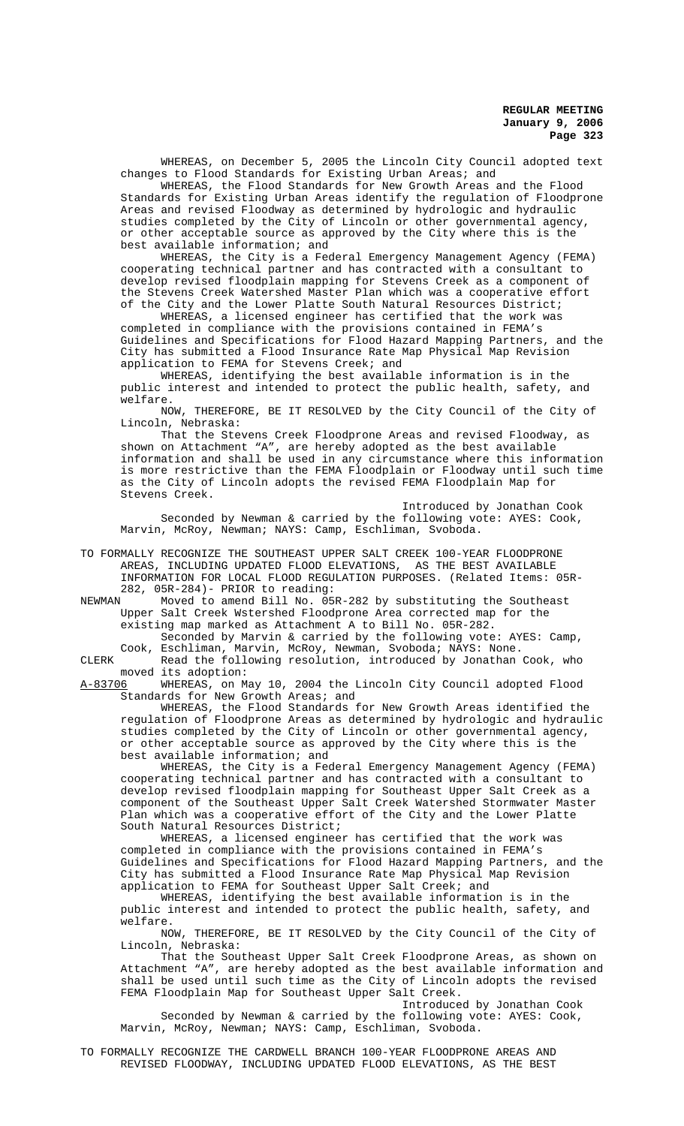WHEREAS, on December 5, 2005 the Lincoln City Council adopted text changes to Flood Standards for Existing Urban Areas; and

WHEREAS, the Flood Standards for New Growth Areas and the Flood Standards for Existing Urban Areas identify the regulation of Floodprone Areas and revised Floodway as determined by hydrologic and hydraulic studies completed by the City of Lincoln or other governmental agency, or other acceptable source as approved by the City where this is the best available information; and

WHEREAS, the City is a Federal Emergency Management Agency (FEMA) cooperating technical partner and has contracted with a consultant to develop revised floodplain mapping for Stevens Creek as a component of the Stevens Creek Watershed Master Plan which was a cooperative effort of the City and the Lower Platte South Natural Resources District;

WHEREAS, a licensed engineer has certified that the work was completed in compliance with the provisions contained in FEMA's Guidelines and Specifications for Flood Hazard Mapping Partners, and the City has submitted a Flood Insurance Rate Map Physical Map Revision application to FEMA for Stevens Creek; and

WHEREAS, identifying the best available information is in the public interest and intended to protect the public health, safety, and welfare.

NOW, THEREFORE, BE IT RESOLVED by the City Council of the City of Lincoln, Nebraska:

That the Stevens Creek Floodprone Areas and revised Floodway, as shown on Attachment "A", are hereby adopted as the best available information and shall be used in any circumstance where this information is more restrictive than the FEMA Floodplain or Floodway until such time as the City of Lincoln adopts the revised FEMA Floodplain Map for Stevens Creek.

Introduced by Jonathan Cook Seconded by Newman & carried by the following vote: AYES: Cook, Marvin, McRoy, Newman; NAYS: Camp, Eschliman, Svoboda.

TO FORMALLY RECOGNIZE THE SOUTHEAST UPPER SALT CREEK 100-YEAR FLOODPRONE AREAS, INCLUDING UPDATED FLOOD ELEVATIONS, AS THE BEST AVAILABLE INFORMATION FOR LOCAL FLOOD REGULATION PURPOSES. (Related Items: 05R-282, 05R-284)- PRIOR to reading:<br>NEWMAN Moved to amend Bill No. 05

Moved to amend Bill No. 05R-282 by substituting the Southeast Upper Salt Creek Wstershed Floodprone Area corrected map for the existing map marked as Attachment A to Bill No. 05R-282. Seconded by Marvin & carried by the following vote: AYES: Camp,

Cook, Eschliman, Marvin, McRoy, Newman, Svoboda; NAYS: None.

CLERK Read the following resolution, introduced by Jonathan Cook, who moved its adoption:<br>A-8370<u>6</u> WHEREAS, on M

A-83706 WHEREAS, on May 10, 2004 the Lincoln City Council adopted Flood Standards for New Growth Areas; and

WHEREAS, the Flood Standards for New Growth Areas identified the regulation of Floodprone Areas as determined by hydrologic and hydraulic studies completed by the City of Lincoln or other governmental agency, or other acceptable source as approved by the City where this is the best available information; and

WHEREAS, the City is a Federal Emergency Management Agency (FEMA) cooperating technical partner and has contracted with a consultant to develop revised floodplain mapping for Southeast Upper Salt Creek as a component of the Southeast Upper Salt Creek Watershed Stormwater Master Plan which was a cooperative effort of the City and the Lower Platte South Natural Resources District;

WHEREAS, a licensed engineer has certified that the work was completed in compliance with the provisions contained in FEMA's Guidelines and Specifications for Flood Hazard Mapping Partners, and the City has submitted a Flood Insurance Rate Map Physical Map Revision application to FEMA for Southeast Upper Salt Creek; and

WHEREAS, identifying the best available information is in the public interest and intended to protect the public health, safety, and welfare.

NOW, THEREFORE, BE IT RESOLVED by the City Council of the City of Lincoln, Nebraska:

That the Southeast Upper Salt Creek Floodprone Areas, as shown on Attachment "A", are hereby adopted as the best available information and shall be used until such time as the City of Lincoln adopts the revised FEMA Floodplain Map for Southeast Upper Salt Creek.

Introduced by Jonathan Cook Seconded by Newman & carried by the following vote: AYES: Cook, Marvin, McRoy, Newman; NAYS: Camp, Eschliman, Svoboda.

TO FORMALLY RECOGNIZE THE CARDWELL BRANCH 100-YEAR FLOODPRONE AREAS AND REVISED FLOODWAY, INCLUDING UPDATED FLOOD ELEVATIONS, AS THE BEST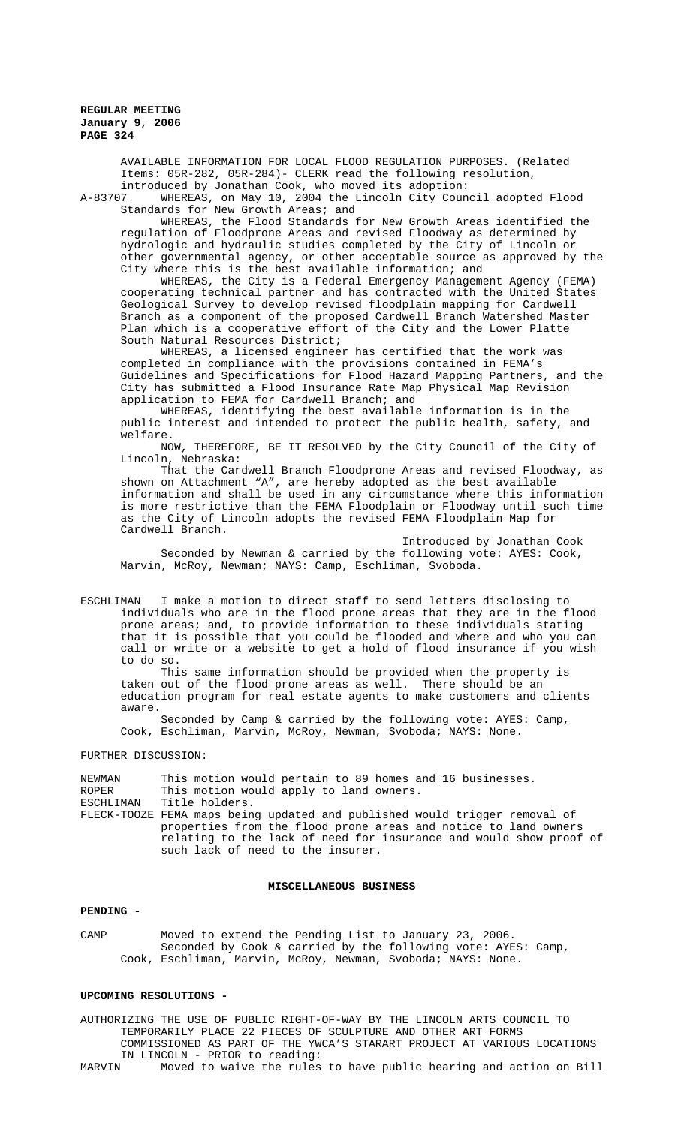AVAILABLE INFORMATION FOR LOCAL FLOOD REGULATION PURPOSES. (Related Items: 05R-282, 05R-284)- CLERK read the following resolution,

introduced by Jonathan Cook, who moved its adoption:<br>A-83707 WHEREAS, on May 10, 2004 the Lincoln City Coun-WHEREAS, on May 10, 2004 the Lincoln City Council adopted Flood Standards for New Growth Areas; and

WHEREAS, the Flood Standards for New Growth Areas identified the regulation of Floodprone Areas and revised Floodway as determined by hydrologic and hydraulic studies completed by the City of Lincoln or other governmental agency, or other acceptable source as approved by the City where this is the best available information; and

WHEREAS, the City is a Federal Emergency Management Agency (FEMA) cooperating technical partner and has contracted with the United States Geological Survey to develop revised floodplain mapping for Cardwell Branch as a component of the proposed Cardwell Branch Watershed Master Plan which is a cooperative effort of the City and the Lower Platte South Natural Resources District;

WHEREAS, a licensed engineer has certified that the work was completed in compliance with the provisions contained in FEMA's Guidelines and Specifications for Flood Hazard Mapping Partners, and the City has submitted a Flood Insurance Rate Map Physical Map Revision application to FEMA for Cardwell Branch; and

WHEREAS, identifying the best available information is in the public interest and intended to protect the public health, safety, and welfare.

NOW, THEREFORE, BE IT RESOLVED by the City Council of the City of Lincoln, Nebraska:

That the Cardwell Branch Floodprone Areas and revised Floodway, as shown on Attachment "A", are hereby adopted as the best available information and shall be used in any circumstance where this information is more restrictive than the FEMA Floodplain or Floodway until such time as the City of Lincoln adopts the revised FEMA Floodplain Map for Cardwell Branch.

Introduced by Jonathan Cook Seconded by Newman & carried by the following vote: AYES: Cook, Marvin, McRoy, Newman; NAYS: Camp, Eschliman, Svoboda.

ESCHLIMAN I make a motion to direct staff to send letters disclosing to individuals who are in the flood prone areas that they are in the flood prone areas; and, to provide information to these individuals stating that it is possible that you could be flooded and where and who you can call or write or a website to get a hold of flood insurance if you wish to do so.

This same information should be provided when the property is taken out of the flood prone areas as well. There should be an education program for real estate agents to make customers and clients aware.

Seconded by Camp & carried by the following vote: AYES: Camp, Cook, Eschliman, Marvin, McRoy, Newman, Svoboda; NAYS: None.

# FURTHER DISCUSSION:

NEWMAN This motion would pertain to 89 homes and 16 businesses.<br>ROPER This motion would apply to land owners. ROPER This motion would apply to land owners.<br>ESCHLIMAN Title holders. Title holders. FLECK-TOOZE FEMA maps being updated and published would trigger removal of properties from the flood prone areas and notice to land owners relating to the lack of need for insurance and would show proof of such lack of need to the insurer.

## **MISCELLANEOUS BUSINESS**

## **PENDING -**

CAMP Moved to extend the Pending List to January 23, 2006. Seconded by Cook & carried by the following vote: AYES: Camp, Cook, Eschliman, Marvin, McRoy, Newman, Svoboda; NAYS: None.

### **UPCOMING RESOLUTIONS -**

AUTHORIZING THE USE OF PUBLIC RIGHT-OF-WAY BY THE LINCOLN ARTS COUNCIL TO TEMPORARILY PLACE 22 PIECES OF SCULPTURE AND OTHER ART FORMS COMMISSIONED AS PART OF THE YWCA'S STARART PROJECT AT VARIOUS LOCATIONS IN LINCOLN - PRIOR to reading:<br>MARVIN Moved to waive the rules

Moved to waive the rules to have public hearing and action on Bill